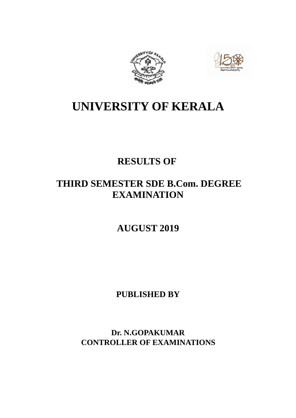



## **UNIVERSITY OF KERALA**

## **RESULTS OF**

## **THIRD SEMESTER SDE B.Com. DEGREE EXAMINATION**

## **AUGUST 2019**

## **PUBLISHED BY**

**Dr. N.GOPAKUMAR CONTROLLER OF EXAMINATIONS**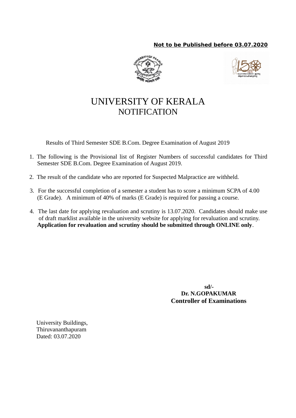### **Not to be Published before 03.07.2020**





## UNIVERSITY OF KERALA **NOTIFICATION**

Results of Third Semester SDE B.Com. Degree Examination of August 2019

- 1. The following is the Provisional list of Register Numbers of successful candidates for Third Semester SDE B.Com. Degree Examination of August 2019.
- 2. The result of the candidate who are reported for Suspected Malpractice are withheld.
- 3. For the successful completion of a semester a student has to score a minimum SCPA of 4.00 (E Grade). A minimum of 40% of marks (E Grade) is required for passing a course.
- 4. The last date for applying revaluation and scrutiny is 13.07.2020. Candidates should make use of draft marklist available in the university website for applying for revaluation and scrutiny. **Application for revaluation and scrutiny should be submitted through ONLINE only**.

 **sd/- Dr. N.GOPAKUMAR Controller of Examinations**

University Buildings, Thiruvananthapuram Dated: 03.07.2020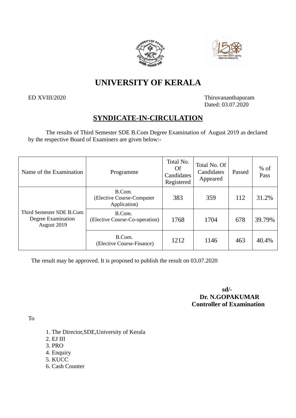



## **UNIVERSITY OF KERALA**

ED XVIII/2020 Thiruvananthapuram Dated: 03.07.2020

### **SYNDICATE-IN-CIRCULATION**

The results of Third Semester SDE B.Com Degree Examination of August 2019 as declared by the respective Board of Examiners are given below:-

| Name of the Examination                                       | Programme                                           | Total No.<br>Of<br>Candidates<br>Registered | Total No. Of<br>Candidates<br>Appeared | Passed | $%$ of<br>Pass |
|---------------------------------------------------------------|-----------------------------------------------------|---------------------------------------------|----------------------------------------|--------|----------------|
|                                                               | B.Com.<br>(Elective Course-Computer<br>Application) | 383                                         | 359                                    | 112    | 31.2%          |
| Third Semester SDE B.Com<br>Degree Examination<br>August 2019 | B.Com.<br>(Elective Course-Co-operation)            | 1768                                        | 1704                                   | 678    | 39.79%         |
|                                                               | B.Com.<br>(Elective Course-Finance)                 | 1212                                        | 1146                                   | 463    | 40.4%          |

The result may be approved. It is proposed to publish the result on 03.07.2020

**sd/- Dr. N.GOPAKUMAR Controller of Examination**

To

- 1. The Director,SDE,University of Kerala
- 2. EJ III
- 3. PRO
- 4. Enquiry
- 5. KUCC
- 6. Cash Counter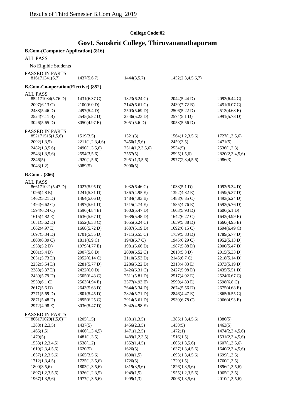### **College Code:02**

## **Govt. Sanskrit College, Thiruvananathapuram**

| <b>B.Com-(Computer Application) (816)</b> |                              |                                        |                   |                              |
|-------------------------------------------|------------------------------|----------------------------------------|-------------------|------------------------------|
| <b>ALL PASS</b>                           |                              |                                        |                   |                              |
| No Eligible Students                      |                              |                                        |                   |                              |
| PASSED IN PARTS                           |                              |                                        |                   |                              |
| 816171341(6,7)                            | 1437(5,6,7)                  | 1444(3,5,7)                            | 1452(2,3,4,5,6,7) |                              |
| <b>B.Com-Co-operation(Elective) (852)</b> |                              |                                        |                   |                              |
| <b>ALL PASS</b>                           |                              |                                        |                   |                              |
| 852171084(5.76 D)                         | $1431(6.37 \text{ C})$       | 1823(6.24 C)                           | 2044(5.44 D)      | 2093(6.44 C)                 |
| 2097(6.13 C)                              | 2100(6.0 D)                  | 2142(6.61 C)                           | 2439(7.72 B)      | 2451(6.07 C)                 |
| 2488(5.46 D)                              | 2497(5.4D)                   | 2503(5.69 D)                           | 2506(5.22 D)      | 2513(4.68 E)                 |
| 2524(7.11 B)                              | 2545(5.82 D)                 | 2546(5.23 D)                           | 2574(5.1 D)       | 2991(5.78 D)                 |
| 3026(5.65 D)                              | 3050(4.97 E)                 | 3051(5.6 D)                            | 3053(5.56 D)      |                              |
| PASSED IN PARTS                           |                              |                                        |                   |                              |
| 852171515(1,5,6)                          | 1519(3,5)                    | 1521(3)                                | 1564(1,2,3,5,6)   | 1727(1,3,5,6)                |
| 2092(1,3,5)                               | 2211(1,2,3,4,6)              | 2450(1,5,6)                            | 2459(3,5)         | 2471(5)                      |
| 2482(1,3,5,6)                             | 2490(1,3,5,6)                | 2514(1,2,3,5,6)                        | 2534(5)           | 2536(1,2,3)                  |
| 2543(1,3,5,6)                             | 2554(3,5,6)                  | 2557(5)                                | 2595(1,5,6)       | 2820(2,3,4,5,6)              |
| 2846(5)                                   | 2920(1,5,6)                  | 2951(1,3,5,6)                          | 2977(2,3,4,5,6)   | 2986(3)                      |
| 3043(1,2)                                 | 3089(5)                      | 3090(5)                                |                   |                              |
| <b>B.Com-.</b> (866)                      |                              |                                        |                   |                              |
| <b>ALL PASS</b>                           |                              |                                        |                   |                              |
| 866171021(5.47 D)                         | 1027(5.95 D)                 | $1032(6.46 \text{ C})$<br>1367(4.95 E) | 1038(5.1 D)       | 1092(5.34 D)                 |
| 1096(4.8 E)                               | 1241(5.31 D)                 |                                        | 1392(4.82 E)      | 1459(5.37 D)                 |
| 1462(5.21 D)                              | 1464(5.06 D)                 | 1484(4.93 E)                           | 1488(6.85 C)      | 1493(5.24 D)                 |
| 1494(6.62 C)                              | 1497(5.61 D)                 | 1515(4.74 E)                           | 1585(4.76 E)      | 1593(5.76 D)                 |
| 1594(6.24 C)                              | 1596(4.84 E)                 | 1602(5.47 D)                           | 1603(5.93 D)      | 1606(5.1 D)                  |
| 1615(4.82 E)                              | 1636(5.67 D)                 | 1639(5.48 D)                           | 1642(6.27 C)      | 1643(4.99 E)                 |
| 1651(5.62 D)                              | $1652(6.33 \text{ C})$       | 1655(6.24 C)                           | 1659(5.88 D)      | 1660(4.95 E)                 |
| 1662(4.97 E)                              | 1668(5.72 D)                 | 1687(5.19 D)                           | 1692(6.15 C)      | 1694(6.49 C)                 |
| 1697(5.34 D)                              | 1701(5.55 D)                 | 1711(6.55 C)                           | 1759(5.83 D)      | 1789(5.77 D)                 |
| 1808(6.39 C)                              | 1811(6.9 C)                  | 1943(6.7 C)                            | 1945(6.29 C)      | 1952(5.13 D)                 |
| 1958(5.2 D)                               | 1979(4.77 E)                 | 1981(5.66 D)                           | 1987(5.88 D)      | 2000(5.47 D)                 |
| 2001(5.4 D)                               | 2007(5.8 D)                  | 2009(6.52 C)                           | 2013(5.3 D)       | 2015(5.33 D)                 |
| 2051(5.73 D)                              | 2052(6.14 C)                 | 2110(5.53 D)                           | 2145(6.7 C)       | 2218(5.14 D)                 |
| 2252(5.54 D)                              | 2281(5.77 D)                 | 2286(5.22 D)                           | 2313(4.83 E)      | 2373(5.19 D)                 |
| 2388(5.37 D)                              | 2422(6.0 D)                  | 2426(6.31 C)                           | 2427(5.98 D)      | 2435(5.51 D)                 |
| 2439(5.79 D)                              | 2505(6.43 C)                 | 2511(5.81 D)                           | 2517(4.92 E)      | 2524(6.67 C)                 |
| 2559(6.1 C)                               | 2563(4.94 E)                 | 2577(4.93 E)                           | 2590(4.89 E)      | 2598(6.8 C)                  |
| 2617(5.6 D)                               | 2643(5.63 D)                 | 2644(5.34 D)                           | 2674(5.56 D)      | 2675(4.68 E)                 |
| 2771(5.69 D)                              | 2801(5.45 D)                 | 2824(5.71 D)                           | 2846(4.47 E)      | 2865(6.55 C)<br>2966(4.93 E) |
| 2871(5.48 D)<br>2972(4.98 E)              | 2895(6.25 C)<br>3036(5.47 D) | 2914(5.61 D)<br>3042(4.98 E)           | 2930(6.78 C)      |                              |
|                                           |                              |                                        |                   |                              |
| PASSED IN PARTS<br>866171029(1,5,6)       | 1205(1,5)                    | 1381(1,3,5)                            | 1385(1,3,4,5,6)   | 1386(5)                      |
| 1388(1,2,3,5)                             | 1437(5)                      | 1456(2,3,5)                            | 1458(5)           | 1463(5)                      |
| 1465(1,5)                                 | 1466(1,3,4,5)                | 1471(1,2,5)                            | 1472(1)           | 1474(2,3,4,5,6)              |
| 1479(5)                                   | 1481(1,3,5)                  | 1489(1,2,3,5)                          | 1516(1,5)         | 1531(2,3,4,5,6)              |
| 1533(1,2,3,4,5)                           | 1538(1,2)                    | 1552(1,4,5)                            | 1605(1,3,5,6)     | 1607(1,3,5,6)                |
| 1619(2,3,4,5,6)                           | 1620(5)                      | 1626(5)                                | 1637(1,3,4,5,6)   | 1640(2,3,4,5,6)              |
| 1657(1,2,3,5,6)                           | 1665(3,5,6)                  | 1690(1,5)                              | 1693(1,3,4,5,6)   | 1699(1,3,5)                  |
| 1712(1,3,4,5)                             | 1725(1,3,5,6)                | 1726(5)                                | 1729(1,5)         | 1760(1,3,5)                  |
| 1800(3,5,6)                               | 1803(1,3,5,6)                | 1819(3,5,6)                            | 1826(1,3,5,6)     | 1896(1,3,5,6)                |
| 1897(1,2,3,5,6)                           | 1926(1,2,3,5)                | 1949(1,5)                              | 1955(1,2,3,5,6)   | 1965(1,3,5)                  |
| 1967(1,3,5,6)                             | 1977(1,3,5,6)                | 1999(1,3)                              | 2006(1,3,5,6)     | 2010(1,3,5,6)                |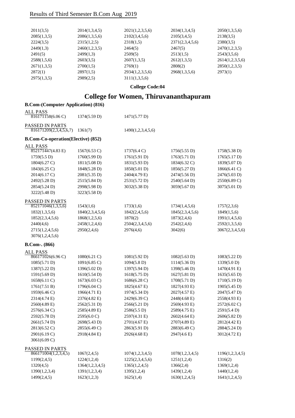| 2034(1,3,4,5)<br>2105(3,4,5) | 2050(1,3,5,6)<br>2138(3.5) |
|------------------------------|----------------------------|
|                              |                            |
|                              |                            |
| 2371(2,3,4,5,6)              | 2380(3.5)                  |
| 2467(5)                      | 2470(1,2,3,5)              |
| 2513(1,5)                    | 2543(3,5,6)                |
| 2612(1,3,5)                  | 2614(1,2,3,5,6)            |
| 2808(2)                      | 2850(1,2,3,5)              |
| 2968(1,3,5,6)                | 2973(1)                    |
|                              |                            |
|                              |                            |

**College Code:04**

## **College for Women, Thiruvananthapuram**

### **B.Com-(Computer Application) (816)**

| <b>ALL PASS</b>                           |                        |                       |                 |                 |
|-------------------------------------------|------------------------|-----------------------|-----------------|-----------------|
| $816171158(6.06 \text{ C})$               | 1374(5.59 D)           | 1471(5.77 D)          |                 |                 |
| PASSED IN PARTS                           |                        |                       |                 |                 |
| 816171209(2,3,4,5,6,7)                    | 1361(7)                | 1490(1,2,3,4,5,6)     |                 |                 |
| <b>B.Com-Co-operation(Elective) (852)</b> |                        |                       |                 |                 |
| <b>ALL PASS</b>                           |                        |                       |                 |                 |
| 852171447(4.83 E)                         | $1567(6.53 \text{ C})$ | $1737(6.4 \text{ C})$ | 1756(5.55 D)    | 1758(5.38 D)    |
| 1759(5.5 D)                               | 1760(5.99 D)           | 1761(5.91 D)          | 1763(5.71 D)    | 1765(5.17 D)    |
| 1804(6.27 C)                              | 1811(5.08 D)           | 1831(5.93 D)          | 1834(6.32 C)    | 1839(5.07 D)    |
| 1843(6.25 C)                              | 1848(5.28 D)           | 1850(5.01 D)          | 1856(5.27 D)    | 1866(6.41 C)    |
| 2014(6.17 C)                              | 2081(5.35 D)           | 2404(4.79 E)          | 2474(5.56 D)    | 2476(5.03 D)    |
| 2492(5.28 D)                              | 2515(5.84 D)           | 2531(5.72 D)          | 2540(5.64 D)    | 2550(6.89 C)    |
| 2854(5.24 D)                              | 2998(5.98 D)           | 3032(5.38 D)          | 3059(5.67 D)    | 3075(5.01 D)    |
| 3222(5.48 D)                              | 3223(5.58 D)           |                       |                 |                 |
| PASSED IN PARTS                           |                        |                       |                 |                 |
| 852171046(1,3,5,6)                        | 1543(1,6)              | 1733(1,6)             | 1734(1,4,5,6)   | 1757(2,3,6)     |
| 1832(1,3,5,6)                             | 1840(2,3,4,5,6)        | 1842(2,4,5,6)         | 1845(2,3,4,5,6) | 1849(1,5,6)     |
| 1852(2,3,4,5,6)                           | 1868(1,2,5,6)          | 1870(2)               | 1873(2,4,6)     | 1991(1,4,5,6)   |
| 2440(4,6)                                 | 2458(1,2,4,6)          | 2504(2,3,4,5,6)       | 2542(2,4,6)     | 2592(1,3,5,6)   |
| 2715(1,2,4,5,6)                           | 2950(2,4,6)            | 2976(4,6)             | 3042(6)         | 3067(2,3,4,5,6) |
| 3076(1,2,4,5,6)                           |                        |                       |                 |                 |
| B.Com-. (866)                             |                        |                       |                 |                 |
| <b>ALL PASS</b>                           |                        |                       |                 |                 |
| $866171026(6.96 \text{ C})$               | $1080(6.21)$ C)        | 1081(5.92 D)          | 1082(5.63 D)    | 1083(5.22 D)    |
| 1085(5.71 D)                              | $1091(6.85 \text{ C})$ | 1094(5.8 D)           | 1114(5.36 D)    | 1339(5.0 D)     |
| 1387(5.22 D)                              | 1396(5.02 D)           | 1397(5.94 D)          | 1398(5.46 D)    | 1470(4.91 E)    |
| 1591(5.69 D)                              | 1610(5.54 D)           | 1618(5.75 D)          | 1627(5.81 D)    | 1635(5.65 D)    |
| 1658(6.11 C)                              | 1673(6.03 C)           | 1686(6.28 C)          | 1708(5.71 D)    | 1710(5.19 D)    |
| 1761(7.51 B)                              | 1796(6.04 C)           | 1825(4.67 E)          | 1827(4.93 E)    | 1905(5.45 D)    |
| 1959(6.46 C)                              | 1966(4.71 E)           | 1974(5.34 D)          | 2027(4.57 E)    | 2047(5.47 D)    |
| 2314(4.74 E)                              | 2376(4.82 E)           | 2429(6.39 C)          | 2448(4.68 E)    | 2558(4.93 E)    |
| 2560(4.89 E)                              | 2562(5.31 D)           | 2566(5.21 D)          | 2569(4.93 E)    | 2572(6.02 C)    |
| 2576(6.34 C)                              | 2585(4.89 E)           | 2586(5.5 D)           | 2589(4.75 E)    | 2591(5.4 D)     |
| 2592(5.78 D)                              | 2595(6.0 C)            | 2597(4.31 E)          | 2602(4.64 E)    | 2606(5.82 D)    |
| 2661(5.74 D)                              | 2698(5.43 D)           | 2701(4.67 E)          | 2707(4.89 E)    | 2812(4.42 E)    |
| 2813(6.52 C)                              | 2855(6.49 C)           | 2863(5.91 D)          | 2883(6.49 C)    | 2884(5.24 D)    |
| 2901(6.19 C)                              | 2918(4.84 E)           | 2926(4.68 E)          | 2947(4.6 E)     | 3012(4.72 E)    |
| 3061(6.09 C)                              |                        |                       |                 |                 |
| PASSED IN PARTS                           |                        |                       |                 |                 |
| 866171004(1,2,3,4,5)                      | 1067(2,4,5)            | 1074(1,2,3,4,5)       | 1078(1,2,3,4,5) | 1196(1,2,3,4,5) |
| 1199(2,4,5)                               | 1224(1,2,4)            | 1225(2,3,4,5,6)       | 1251(1,2,4)     | 1316(2)         |
| 1320(4,5)                                 | 1364(1,2,3,4,5)        | 1365(1,2,4,5)         | 1366(2,4)       | 1369(1,2,4)     |
| 1390(1,2,3,4)                             | 1391(1,2,3,4)          | 1395(1,2,4)           | 1439(1,2,4)     | 1440(1,2,4)     |
| 1499(2,4,5)                               | 1623(1,2,3)            | 1625(1,4)             | 1630(1,2,4,5)   | 1641(1,2,4,5)   |
|                                           |                        |                       |                 |                 |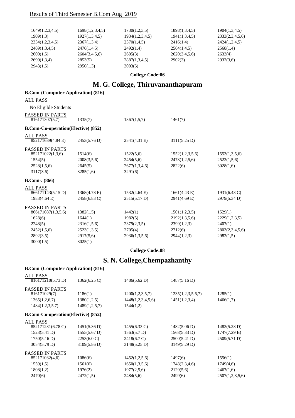| 1649(1,2,3,4,5) | 1698(1,2,3,4,5) | 1730(1,2,3,5)   | 1898(1,3,4,5) | 1904(1,3,4,5)   |
|-----------------|-----------------|-----------------|---------------|-----------------|
| 1909(1,3)       | 1927(1,3,4,5)   | 1934(1,2,3,4,5) | 1941(1,3,4,5) | 2333(2,3,4,5,6) |
| 2334(1,2,3,4,5) | 2367(1,3,4)     | 2370(1,4,5)     | 2416(1,4)     | 2424(1,2,4,5)   |
| 2469(1,3,4,5)   | 2476(1,4,5)     | 2492(1,4)       | 2564(1,4,5)   | 2568(1,4)       |
| 2600(1,5)       | 2604(3,4,5,6)   | 2605(3)         | 2620(3,4,5,6) | 2633(4)         |
| 2690(1,3,4)     | 2853(5)         | 2887(1,3,4,5)   | 2902(3)       | 2932(3,6)       |
| 2943(1,5)       | 2950(1,3)       | 3003(5)         |               |                 |

**College Code:06**

### **M. G. College, Thiruvananthapuram**

| <b>B.Com-(Computer Application) (816)</b>                                           |               |                              |                        |                        |
|-------------------------------------------------------------------------------------|---------------|------------------------------|------------------------|------------------------|
| <b>ALL PASS</b>                                                                     |               |                              |                        |                        |
| No Eligible Students                                                                |               |                              |                        |                        |
| PASSED IN PARTS                                                                     |               |                              |                        |                        |
| 816171307(5,7)                                                                      | 1335(7)       | 1367(1,5,7)                  | 1461(7)                |                        |
| <b>B.Com-Co-operation(Elective) (852)</b>                                           |               |                              |                        |                        |
| <b>ALL PASS</b>                                                                     |               |                              |                        |                        |
| 852171689(4.84 E)                                                                   | 2453(5.76 D)  | 2541(4.31 E)                 | 3111(5.25 D)           |                        |
| PASSED IN PARTS                                                                     |               |                              |                        |                        |
| 852171022(1,3,6)                                                                    | 1514(6)       | 1522(5,6)                    | 1552(1,2,3,5,6)        | 1553(1,3,5,6)          |
| 1554(5)                                                                             | 2008(3,5,6)   | 2454(5,6)                    | 2473(1,2,5,6)          | 2522(1,5,6)            |
| 2528(1,5,6)                                                                         | 2645(5)       | 2677(1,3,4,6)                | 2822(6)                | 3028(1,6)              |
| 3117(3,6)                                                                           | 3285(1,6)     | 3291(6)                      |                        |                        |
| B.Com-. (866)                                                                       |               |                              |                        |                        |
| <b>ALL PASS</b>                                                                     |               |                              |                        |                        |
| 866171143(5.15 D)                                                                   | 1368(4.78 E)  | 1532(4.64 E)                 | $1661(4.43 \text{ E})$ | $1931(6.43 \text{ C})$ |
| 1983(4.64 E)                                                                        | 2458(6.83 C)  | 2515(5.17 D)                 | 2941(4.69 E)           | 2979(5.34 D)           |
| PASSED IN PARTS                                                                     |               |                              |                        |                        |
| 866171087(1,3,5,6)                                                                  | 1382(1,5)     | 1442(1)                      | 1501(1,2,3,5)          | 1529(1)                |
| 1628(6)                                                                             | 1644(1)       | 1982(5)                      | 2192(1,3,5,6)          | 2229(1,2,3,5)          |
| 2248(5)                                                                             | 2316(1,5,6)   | 2379(2,3,5)                  | 2399(1,2,3)            | 2407(1)                |
| 2452(1,5,6)                                                                         | 2523(1,3,5)   | 2705(4)                      | 2712(6)                | 2803(2,3,4,5,6)        |
| 2892(3,5)                                                                           | 2917(5,6)     | 2936(1,3,5,6)                | 2944(1,2,3)            | 2982(1,5)              |
| 3000(1,5)                                                                           | 3025(1)       |                              |                        |                        |
|                                                                                     |               | <b>College Code:08</b>       |                        |                        |
|                                                                                     |               | S. N. College, Chempazhanthy |                        |                        |
| <b>B.Com-(Computer Application) (816)</b>                                           |               |                              |                        |                        |
| <b>ALL PASS</b>                                                                     |               |                              |                        |                        |
| $\overline{8161712}10(5.73 D)$                                                      | 1362(6.25 C)  | 1486(5.62 D)                 | 1487(5.16 D)           |                        |
| PASSED IN PARTS                                                                     |               |                              |                        |                        |
| 816171029(7)                                                                        | 1186(1)       | 1200(1,2,3,5,7)              | 1235(1,2,3,5,6,7)      | 1285(1)                |
| 1365(1,2,6,7)                                                                       | 1380(1,2,5)   | 1448(1,2,3,4,5,6)            | 1451(1,2,3,4)          | 1466(1,7)              |
| 1484(1,2,3,5,7)                                                                     | 1489(1,2,5,7) | 1544(1,2)                    |                        |                        |
| $\bf{D}$ $\bf{C}$ . $\bf{C}$ . $\bf{C}$ . $\bf{C}$ . $\bf{C}$ . $\bf{C}$ . $\bf{C}$ |               |                              |                        |                        |

#### **B.Com-Co-operation(Elective) (852)**

| ALL PASS               |                        |               |               |                 |
|------------------------|------------------------|---------------|---------------|-----------------|
| 852171231(6.78 C)      | 1451(5.36 D)           | 1455(6.33 C)  | 1482(5.06 D)  | 1483(5.28 D)    |
| 1523(5.41 D)           | $1555(5.67 \text{ D})$ | 1563(5.7 D)   | 1568(5.33 D)  | 1747(7.29 B)    |
| 1750(5.16 D)           | $2253(6.0 \text{ C})$  | 2418(6.7 C)   | 2500(5.41 D)  | 2509(5.71 D)    |
| 3054(5.79 D)           | 3109(5.86 D)           | 3148(5.25 D)  | 3149(5.29 D)  |                 |
| <b>PASSED IN PARTS</b> |                        |               |               |                 |
| 852171032(4,6)         | 1086(6)                | 1452(1,2,5,6) | 1497(6)       | 1556(1)         |
| 1559(1,5)              | 1561(6)                | 1650(1,3,5,6) | 1748(2,3,4,6) | 1749(4,6)       |
| 1808(1,2)              | 1976(2)                | 1977(2,5,6)   | 2129(5,6)     | 2467(1,6)       |
| 2470(6)                | 2472(1,5)              | 2484(5,6)     | 2499(6)       | 2507(1,2,3,5,6) |
|                        |                        |               |               |                 |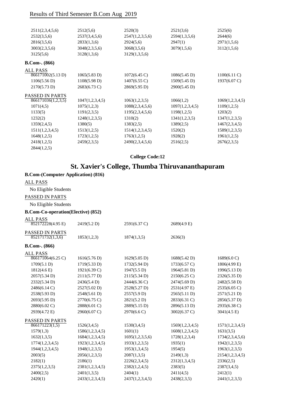| 2511(2,3,4,5,6)        | 2512(5,6)       | 2520(3)                | 2521(3,6)       | 2525(6)                |
|------------------------|-----------------|------------------------|-----------------|------------------------|
| 2532(3,5,6)            | 2537(3,4,5,6)   | 2547(1,2,3,5,6)        | 2594(1,3,5,6)   | 2644(6)                |
| 2816(3,5,6)            | 2833(1,3,6)     | 2924(5,6)              | 2947(1)         | 2971(1,5,6)            |
| 3003(2,3,5,6)          | 3048(2,3,5,6)   | 3068(3,5,6)            | 3079(1,5,6)     | 3112(1,5,6)            |
| 3125(5,6)              | 3128(1,3,6)     | 3129(1,3,5,6)          |                 |                        |
| $B. Com-. (866)$       |                 |                        |                 |                        |
| <b>ALL PASS</b>        |                 |                        |                 |                        |
| 866171002(5.13 D)      | 1065(5.83 D)    | $1072(6.45 \text{ C})$ | 1086(5.45 D)    | $1100(6.11)$ C)        |
| 1106(5.56 D)           | 1108(5.98 D)    | $1407(6.55 \text{ C})$ | 1509(5.45 D)    | $1937(6.07 \text{ C})$ |
| 2170(5.73 D)           | 2683(6.73 C)    | 2869(5.95 D)           | 2900(5.45 D)    |                        |
| <b>PASSED IN PARTS</b> |                 |                        |                 |                        |
| 866171036(1,2,3,5)     | 1047(1,2,3,4,5) | 1063(1,2,3,5)          | 1066(1,2)       | 1069(1,2,3,4,5)        |
| 1071(4,5)              | 1075(1,2,3)     | 1088(2,3,4,5,6)        | 1097(1,2,3,4,5) | 1109(1,2,5)            |
| 1133(5)                | 1191(2,3,5)     | 1195(2,3,4,5,6)        | 1198(1,2,5)     | 1203(2)                |
| 1232(2)                | 1248(1,2,3,5)   | 1310(2)                | 1341(1,2,3,5)   | 1347(1,2,3,5)          |
| 1359(2,4,5)            | 1380(5)         | 1383(2,5)              | 1389(2,5)       | 1467(2,3,4,5)          |
| 1511(1,2,3,4,5)        | 1513(1,2,5)     | 1514(1,2,3,4,5)        | 1520(2)         | 1589(1,2,3,5)          |
| 1648(1,2,5)            | 1723(1,2,5)     | 1763(1,2,5)            | 1928(2)         | 1961(1,2,5)            |
| 2418(1,2,5)            | 2459(2,3,5)     | 2490(2,3,4,5,6)        | 2516(2,5)       | 2676(2,3,5)            |
| 2844(1,2,5)            |                 |                        |                 |                        |
|                        |                 |                        |                 |                        |

**College Code:12**

### **St. Xavier's College, Thumba Thiruvananthapuram**

| <b>B.Com-(Computer Application) (816)</b> |                 |                 |                       |                 |
|-------------------------------------------|-----------------|-----------------|-----------------------|-----------------|
| <b>ALL PASS</b>                           |                 |                 |                       |                 |
| No Eligible Students                      |                 |                 |                       |                 |
| PASSED IN PARTS                           |                 |                 |                       |                 |
| No Eligible Students                      |                 |                 |                       |                 |
| <b>B.Com-Co-operation(Elective) (852)</b> |                 |                 |                       |                 |
| <b>ALL PASS</b>                           |                 |                 |                       |                 |
| 852172228(4.95 E)                         | 2419(5.2 D)     | 2591(6.37 C)    | $2689(4.9 \text{ E})$ |                 |
| <b>PASSED IN PARTS</b>                    |                 |                 |                       |                 |
| 852171732(1,3,6)                          | 1853(1,2,3)     | 1874(1,3,5)     | 2636(3)               |                 |
| <b>B.Com-.</b> (866)                      |                 |                 |                       |                 |
| <b>ALL PASS</b>                           |                 |                 |                       |                 |
| 866171064(6.25 C)                         | 1616(5.76 D)    | 1629(5.05 D)    | 1688(5.42 D)          | 1689(6.0 C)     |
| 1709(5.1 D)                               | 1719(5.33 D)    | 1732(5.94 D)    | 1733(6.57 C)          | 1806(4.99 E)    |
| $1812(4.6 \text{ E})$                     | 1921(6.39 C)    | 1947(5.5 D)     | 1964(5.81 D)          | 1996(5.13 D)    |
| 2057(5.34 D)                              | 2111(5.77 D)    | 2115(5.34 D)    | 2150(6.25 C)          | 2326(5.35 D)    |
| 2332(5.34 D)                              | 2436(5.4D)      | 2444(6.36 C)    | 2474(5.69 D)          | 2482(5.58 D)    |
| 2486(6.14 C)                              | 2527(5.02 D)    | 2528(5.27 D)    | 2531(4.97 E)          | 2535(6.05 C)    |
| 2538(5.93 D)                              | 2548(5.61 D)    | 2557(5.9 D)     | 2565(5.11 D)          | 2571(5.21 D)    |
| 2693(5.95 D)                              | 2770(6.75 C)    | 2821(5.2 D)     | 2833(6.31 C)          | 2856(5.37 D)    |
| 2880(6.02 C)                              | 2888(6.01 C)    | 2889(5.15 D)    | 2896(5.13 D)          | 2935(6.38 C)    |
| 2939(4.72 E)                              | 2960(6.07 C)    | 2970(6.6 C)     | 3002(6.37 C)          | 3041(4.5 E)     |
| PASSED IN PARTS                           |                 |                 |                       |                 |
| 866171223(1,5)                            | 1526(3,4,5)     | 1530(3,4,5)     | 1569(1,2,3,4,5)       | 1571(1,2,3,4,5) |
| 1579(1,3)                                 | 1586(1,2,3,4,5) | 1601(1)         | 1608(1,2,3,4,5)       | 1631(3,5)       |
| 1632(1,3,5)                               | 1684(1,2,3,4,5) | 1695(1,2,3,5,6) | 1728(1,2,3,4)         | 1734(2,3,4,5,6) |
| 1774(1,2,3,4,5)                           | 1923(1,2,3,4,5) | 1933(1,2,3,5)   | 1935(1)               | 1942(1,2,3,5)   |
| 1944(1,2,3,4,5)                           | 1948(1,2,3,5)   | 1953(1,3,4,5)   | 1954(5)               | 1963(1,2,3,5)   |
| 2003(5)                                   | 2056(1,2,3,5)   | 2087(1,3,5)     | 2149(1,3)             | 2154(1,2,3,4,5) |
| 2182(1)                                   | 2186(1)         | 2226(2,3,4,5)   | 2312(1,3,4,5)         | 2336(2,5)       |
| 2375(1,2,3,5)                             | 2381(1,2,3,4,5) | 2382(1,2,4,5)   | 2383(5)               | 2387(3,4,5)     |
| 2400(2,5)                                 | 2401(1,3,5)     | 2404(1)         | 2411(4,5)             | 2412(1)         |
| 2420(1)                                   | 2433(1,2,3,4,5) | 2437(1,2,3,4,5) | 2438(2,3,5)           | 2441(1,2,3,5)   |
|                                           |                 |                 |                       |                 |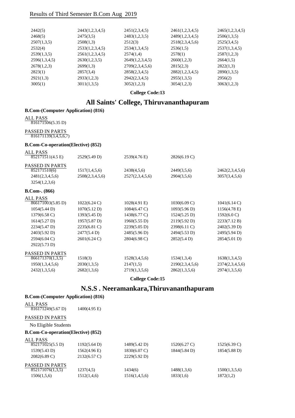| 2442(5)       | 2443(1,2,3,4,5) | 2451(2,3,4,5)   | 2461(1,2,3,4,5) | 2465(1,2,3,4,5) |
|---------------|-----------------|-----------------|-----------------|-----------------|
| 2468(5)       | 2475(3,5)       | 2483(1,2,3,5)   | 2489(1,2,3,4,5) | 2506(1,3,5)     |
| 2507(1,3,5)   | 2508(1,3)       | 2512(3)         | 2518(2,3,4,5,6) | 2525(3,4,5)     |
| 2532(4)       | 2533(1,2,3,4,5) | 2534(1,3,4,5)   | 2536(1,5)       | 2537(1,3,4,5)   |
| 2539(1,3,5)   | 2561(1,2,3,4,5) | 2574(1,4)       | 2578(1)         | 2587(1,2,3)     |
| 2596(1,3,4,5) | 2630(1,2,3,5)   | 2649(1,2,3,4,5) | 2660(1,2,3)     | 2664(1,5)       |
| 2678(1,2,3)   | 2699(1,3)       | 2709(2,3,4,5,6) | 2815(2,3)       | 2822(1,3)       |
| 2823(1)       | 2857(3,4)       | 2858(2,3,4,5)   | 2882(1,2,3,4,5) | 2890(1,3,5)     |
| 2921(1,3)     | 2933(1,2,3)     | 2942(2,3,4,5)   | 2955(1,3,5)     | 2956(2)         |
| 3005(1)       | 3011(1,3,5)     | 3052(1,2,3)     | 3054(1,2,3)     | 3063(1,2,3)     |
|               |                 |                 |                 |                 |

**College Code:13**

### **All Saints' College, Thiruvananthapuram**

#### **B.Com-(Computer Application) (816)**

#### ALL PASS

816171506(5.35 D)

#### PASSED IN PARTS 816171139(3,4,5,6,7)

#### **B.Com-Co-operation(Elective) (852)**

| ALL PASS                               |                        |                        |                        |                        |
|----------------------------------------|------------------------|------------------------|------------------------|------------------------|
| 852171511(4.5 E)                       | 2529(5.49 D)           | 2539(4.76 E)           | 2826(6.19 C)           |                        |
| <b>PASSED IN PARTS</b>                 |                        |                        |                        |                        |
| 852171510(6)                           | 1517(1,4,5,6)          | 2438(4,5,6)            | 2449(3,5,6)            | 2462(2,3,4,5,6)        |
| 2481(2,3,4,5,6)                        | 2508(2,3,4,5,6)        | 2527(2,3,4,5,6)        | 2904(3,5,6)            | 3057(3,4,5,6)          |
| 3254(1,2,3,6)                          |                        |                        |                        |                        |
| $B. Com-. (866)$                       |                        |                        |                        |                        |
| ALL PASS                               |                        |                        |                        |                        |
| $\overline{8661}71003(5.85 \text{ D})$ | $1022(6.24 \text{ C})$ | $1028(4.91)$ E)        | $1030(6.09 \text{ C})$ | 1041(6.14 C)           |
| 1054(5.44 D)                           | 1070(5.12 D)           | $1084(6.47 \text{ C})$ | 1093(5.96 D)           | $1156(4.78 \text{ E})$ |
| $1379(6.58 \text{ C})$                 | 1393(5.45 D)           | 1438(6.77 C)           | 1524(5.25 D)           | $1592(6.0 \text{ C})$  |
| 1614(5.27 D)                           | 1957(5.87 D)           | 1960(5.55 D)           | 2119(5.92 D)           | 2233(7.12 B)           |
| 2234(5.47 D)                           | 2235(6.81 C)           | 2239(5.05 D)           | 2398(6.11 C)           | 2402(5.39 D)           |
| 2403(5.92 D)                           | 2477(5.4 D)            | 2485(5.96 D)           | 2494(5.53 D)           | 2495(5.94 D)           |
| 2594(6.04 C)                           | $2601(6.24 \text{ C})$ | 2804(6.98 C)           | 2852(5.4 D)            | 2854(5.01 D)           |
| 2922(5.73 D)                           |                        |                        |                        |                        |
| <b>PASSED IN PARTS</b>                 |                        |                        |                        |                        |
| 866171370(1,3,5)                       | 1518(3)                | 1528(3,4,5,6)          | 1534(1,3,4)            | 1638(1,3,4,5)          |
| 1950(1,3,4,5,6)                        | 2030(1,3,5)            | 2147(1,5)              | 2190(2,3,4,5,6)        | 2374(2,3,4,5,6)        |

**College Code:15**

2432(1,3,5,6) 2682(1,3,6) 2719(1,3,5,6) 2862(1,3,5,6) 2974(1,3,5,6)

### **N.S.S . Neeramankara,Thiruvananthapuram**

#### **B.Com-(Computer Application) (816)**

| ALL PASS<br>816171249(5.67 D)              | $1400(4.95 \text{ E})$ |               |                        |                        |
|--------------------------------------------|------------------------|---------------|------------------------|------------------------|
| <b>PASSED IN PARTS</b>                     |                        |               |                        |                        |
| No Eligible Students                       |                        |               |                        |                        |
| <b>B.Com-Co-operation</b> (Elective) (852) |                        |               |                        |                        |
| ALL PASS                                   |                        |               |                        |                        |
| 852171025(5.5 D)                           | 1192(5.64 D)           | 1489(5.42 D)  | $1520(6.27 \text{ C})$ | $1525(6.39 \text{ C})$ |
| 1539(5.43 D)                               | 1562(4.96 E)           | 1830(6.07 C)  | $1844(5.84 \text{ D})$ | $1854(5.88 \text{ D})$ |
| $2082(6.89 \text{ C})$                     | $2132(6.57 \text{ C})$ | 2229(5.92 D)  |                        |                        |
| <b>PASSED IN PARTS</b>                     |                        |               |                        |                        |
| 852171076(1,3,5)                           | 1237(4,5)              | 1434(6)       | 1488(1,3,6)            | 1500(1,3,5,6)          |
| 1506(1,5,6)                                | 1512(1,4,6)            | 1516(1,4,5,6) | 1833(1,6)              | 1872(1,2)              |
|                                            |                        |               |                        |                        |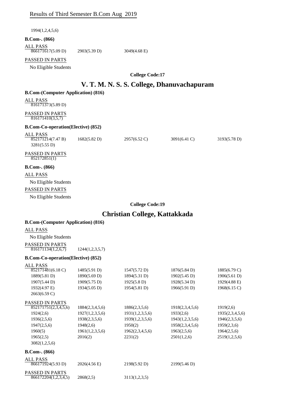| Results of Third Semester B.Com Aug 2019             |                              |                                            |                              |                              |
|------------------------------------------------------|------------------------------|--------------------------------------------|------------------------------|------------------------------|
| 1994(1,2,4,5,6)                                      |                              |                                            |                              |                              |
| $B. Com-. (866)$                                     |                              |                                            |                              |                              |
| <b>ALL PASS</b><br>866171617(5.09 D)                 | 2903(5.39 D)                 | 3049(4.68 E)                               |                              |                              |
| PASSED IN PARTS<br>No Eligible Students              |                              |                                            |                              |                              |
|                                                      |                              | <b>College Code:17</b>                     |                              |                              |
|                                                      |                              |                                            |                              |                              |
|                                                      |                              | V. T. M. N. S. S. College, Dhanuvachapuram |                              |                              |
| <b>B.Com-(Computer Application) (816)</b>            |                              |                                            |                              |                              |
| <b>ALL PASS</b><br>816171373(5.89 D)                 |                              |                                            |                              |                              |
| PASSED IN PARTS<br>816171410(3,5,7)                  |                              |                                            |                              |                              |
| <b>B.Com-Co-operation(Elective) (852)</b>            |                              |                                            |                              |                              |
| <b>ALL PASS</b><br>852171214(7.47 B)<br>3281(5.55 D) | 1682(5.82 D)                 | 2957(6.52 C)                               | $3091(6.41)$ C)              | 3193(5.78 D)                 |
| PASSED IN PARTS<br>852172851(1)                      |                              |                                            |                              |                              |
| $B. Com-. (866)$                                     |                              |                                            |                              |                              |
| <b>ALL PASS</b>                                      |                              |                                            |                              |                              |
| No Eligible Students                                 |                              |                                            |                              |                              |
| PASSED IN PARTS                                      |                              |                                            |                              |                              |
| No Eligible Students                                 |                              |                                            |                              |                              |
|                                                      |                              | <b>College Code:19</b>                     |                              |                              |
|                                                      |                              | Christian College, Kattakkada              |                              |                              |
| <b>B.Com-(Computer Application) (816)</b>            |                              |                                            |                              |                              |
| <b>ALL PASS</b>                                      |                              |                                            |                              |                              |
| No Eligible Students                                 |                              |                                            |                              |                              |
| PASSED IN PARTS                                      |                              |                                            |                              |                              |
| 816171134(1,2,6,7)                                   | 1244(1,2,3,5,7)              |                                            |                              |                              |
| <b>B.Com-Co-operation(Elective) (852)</b>            |                              |                                            |                              |                              |
| <b>ALL PASS</b>                                      |                              |                                            |                              |                              |
| 852171481(6.18 C)                                    | 1485(5.91 D)                 | 1547(5.72 D)                               | 1876(5.84 D)                 | $1885(6.79 \text{ C})$       |
| 1889(5.81 D)<br>1907(5.44 D)                         | 1890(5.69 D)<br>1909(5.75 D) | 1894(5.31 D)<br>1925(5.8 D)                | 1902(5.45 D)<br>1928(5.34 D) | 1906(5.61 D)<br>1929(4.88 E) |
| 1932(4.97 E)                                         | 1934(5.05 D)                 | 1954(5.81 D)                               | 1966(5.91 D)                 | 1968(6.15 C)                 |
| 2663(6.59 C)                                         |                              |                                            |                              |                              |
| PASSED IN PARTS                                      |                              |                                            |                              |                              |
| 852171751(2,3,4,5,6)                                 | 1884(2,3,4,5,6)              | 1886(2,3,5,6)                              | 1918(2,3,4,5,6)              | 1919(2,6)                    |
| 1924(2,6)                                            | 1927(1,2,3,5,6)              | 1931(1,2,3,5,6)                            | 1933(2,6)                    | 1935(2,3,4,5,6)              |
| 1936(2,5,6)                                          | 1938(2,3,5,6)                | 1939(1,2,3,5,6)                            | 1943(1,2,3,5,6)              | 1946(2,3,5,6)                |
| 1947(2,5,6)                                          | 1948(2,6)                    | 1950(2)                                    | 1958(2,3,4,5,6)              | 1959(2,3,6)                  |
| 1960(5)<br>1965(2,5)                                 | 1961(1,2,3,5,6)<br>2016(2)   | 1962(2,3,4,5,6)<br>2231(2)                 | 1963(2,5,6)<br>2501(1,2,6)   | 1964(2,5,6)<br>2519(1,2,5,6) |
| 3082(1,2,5,6)                                        |                              |                                            |                              |                              |
| <b>B.Com-.</b> (866)                                 |                              |                                            |                              |                              |
| <b>ALL PASS</b>                                      |                              |                                            |                              |                              |
| 866171924(5.93 D)                                    | 2026(4.56 E)                 | 2198(5.92 D)                               | 2199(5.46 D)                 |                              |
| PASSED IN PARTS<br>866172204(1,2,3,4,5)              | 2868(2,5)                    | 3113(1,2,3,5)                              |                              |                              |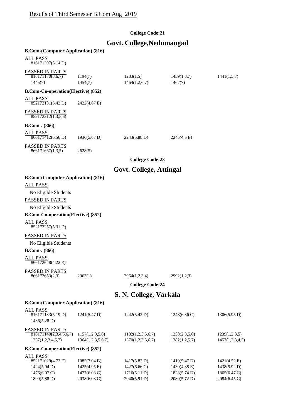### **College Code:21**

### **Govt. College,Nedumangad**

| <b>B.Com-(Computer Application) (816)</b>                                                                                                                       |                                  |
|-----------------------------------------------------------------------------------------------------------------------------------------------------------------|----------------------------------|
| <b>ALL PASS</b>                                                                                                                                                 |                                  |
| 816171397(5.14 D)                                                                                                                                               |                                  |
| PASSED IN PARTS                                                                                                                                                 |                                  |
| 816171170(3,6,7)<br>1194(7)<br>1283(1,5)<br>1439(1,3,7)<br>1445(7)<br>1454(7)<br>1464(1,2,6,7)<br>1467(7)                                                       | 1441(1,5,7)                      |
| <b>B.Com-Co-operation(Elective) (852)</b>                                                                                                                       |                                  |
| <b>ALL PASS</b>                                                                                                                                                 |                                  |
| 852172131(5.42 D)<br>2422(4.67 E)                                                                                                                               |                                  |
| PASSED IN PARTS<br>852172212(1,3,5,6)                                                                                                                           |                                  |
| $B. Com-. (866)$                                                                                                                                                |                                  |
| <b>ALL PASS</b><br>866171412(5.56 D)<br>1936(5.67 D)<br>2243(5.88 D)<br>$2245(4.5 \text{ E})$                                                                   |                                  |
| PASSED IN PARTS<br>866171667(1,3,5)<br>2628(5)                                                                                                                  |                                  |
| <b>College Code:23</b>                                                                                                                                          |                                  |
| Govt. College, Attingal                                                                                                                                         |                                  |
| <b>B.Com-(Computer Application) (816)</b>                                                                                                                       |                                  |
| <b>ALL PASS</b>                                                                                                                                                 |                                  |
| No Eligible Students                                                                                                                                            |                                  |
| PASSED IN PARTS                                                                                                                                                 |                                  |
| No Eligible Students                                                                                                                                            |                                  |
| <b>B.Com-Co-operation(Elective) (852)</b>                                                                                                                       |                                  |
| <b>ALL PASS</b><br>852172257(5.31 D)                                                                                                                            |                                  |
| PASSED IN PARTS                                                                                                                                                 |                                  |
| No Eligible Students                                                                                                                                            |                                  |
| <b>B.Com-.</b> (866)                                                                                                                                            |                                  |
| <b>ALL PASS</b><br>866172648(4.22 E)                                                                                                                            |                                  |
| PASSED IN PARTS                                                                                                                                                 |                                  |
| 866172653(2,3)<br>2963(1)<br>2964(1,2,3,4)<br>2992(1,2,3)                                                                                                       |                                  |
| <b>College Code:24</b>                                                                                                                                          |                                  |
| S. N. College, Varkala                                                                                                                                          |                                  |
| <b>B.Com-(Computer Application) (816)</b>                                                                                                                       |                                  |
| <b>ALL PASS</b><br>816171133(5.19 D)<br>1248(6.36 C)<br>1241(5.47 D)<br>1242(5.42 D)                                                                            | 1306(5.95 D)                     |
| 1436(5.28 D)                                                                                                                                                    |                                  |
| PASSED IN PARTS                                                                                                                                                 |                                  |
| 816171140(2,3,4,5,6,7)<br>1157(1,2,3,5,6)<br>1182(1,2,3,5,6,7)<br>1238(2,3,5,6)<br>1257(1,2,3,4,5,7)<br>1364(1,2,3,5,6,7)<br>1370(1,2,3,5,6,7)<br>1382(1,2,5,7) | 1239(1,2,3,5)<br>1457(1,2,3,4,5) |
| <b>B.Com-Co-operation(Elective) (852)</b>                                                                                                                       |                                  |
| <b>ALL PASS</b>                                                                                                                                                 |                                  |
| 852171029(4.72 E)<br>1085(7.04 B)<br>1417(5.82 D)<br>1419(5.47 D)                                                                                               | $1421(4.52 \text{ E})$           |
| 1424(5.04 D)<br>1425(4.95 E)<br>1427(6.66 C)<br>1430(4.38 E)<br>1476(6.07 C)<br>1477(6.08 C)<br>1716(5.11 D)<br>1828(5.74 D)                                    | 1438(5.92 D)<br>1865(6.47 C)     |

1899(5.88 D) 2038(6.08 C) 2040(5.91 D) 2080(5.72 D) 2084(6.45 C)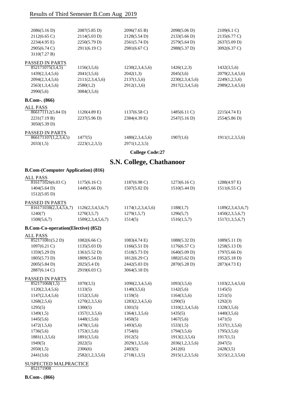| 2086(5.16 D)                              | $2087(5.85 \text{ D})$ | 2096(7.65 B)                    | 2098(5.06 D)    | 2109(6.1 C)     |
|-------------------------------------------|------------------------|---------------------------------|-----------------|-----------------|
| 2112(6.65 C)                              | 2114(5.03 D)           | 2128(5.54 D)                    | 2133(5.66 D)    | 2135(6.77 C)    |
| 2234(4.95 E)                              | 2250(5.79 D)           | 2561(5.74 D)                    | 2579(5.64 D)    | 2637(5.09 D)    |
| 2905(6.74 C)                              | 2911(6.19 C)           | 2981(6.67 C)                    | 2988(5.37 D)    | 3092(6.37 C)    |
| 3110(7.27 B)                              |                        |                                 |                 |                 |
| PASSED IN PARTS                           |                        |                                 |                 |                 |
| 852171075(3,4,5)                          | 1156(3,5,6)            | 1230(2,3,4,5,6)                 | 1426(1,2,3)     | 1432(3,5,6)     |
| 1439(2,3,4,5,6)                           | 2041(3,5,6)            | 2042(1,3)                       | 2045(3,6)       | 2079(2,3,4,5,6) |
| 2094(2,3,4,5,6)                           | 2111(2,3,4,5,6)        | 2137(1,5,6)                     | 2230(2,3,4,5,6) | 2249(1,2,5,6)   |
| 2563(1,3,4,5,6)                           | 2580(1,2)              | 2912(1,3,6)                     | 2917(2,3,4,5,6) | 2989(2,3,4,5,6) |
| 2990(5,6)                                 | 3084(3,5,6)            |                                 |                 |                 |
| <b>B.Com-. (866)</b>                      |                        |                                 |                 |                 |
| ALL PASS                                  |                        |                                 |                 |                 |
| 866171112(5.84 D)                         | $1120(4.89)$ E)        | $1137(6.58 \text{ C})$          | $1485(6.11)$ C) | 2215(4.74 E)    |
| 2231(7.19 B)                              | 2237(5.96 D)           | 2384(4.39 E)                    | 2547(5.16D)     | 2554(5.86 D)    |
| 3050(5.39 D)                              |                        |                                 |                 |                 |
| PASSED IN PARTS                           |                        |                                 |                 |                 |
| 866171107(1,2,3,4,5)                      | 1477(5)                | 1480(2,3,4,5,6)                 | 1907(1,6)       | 1911(1,2,3,5,6) |
| 2033(1,5)                                 | 2223(1,2,3,5)          | 2971(1,2,3,5)                   |                 |                 |
|                                           |                        | <b>College Code:27</b>          |                 |                 |
|                                           |                        | <b>S.N. College, Chathanoor</b> |                 |                 |
| <b>B.Com-(Computer Application) (816)</b> |                        |                                 |                 |                 |
| ALL PASS                                  |                        |                                 |                 |                 |
|                                           |                        |                                 |                 |                 |

| $816171026(6.03 \text{ C})$               | 1175(6.16 C)           | 1187(6.98 C)           | 1273(6.16 C)           | 1288(4.97 E)           |
|-------------------------------------------|------------------------|------------------------|------------------------|------------------------|
| 1404(5.64 D)                              | 1449(5.66 D)           | 1507(5.02 D)           | 1510(5.44 D)           | $1511(6.55 \text{ C})$ |
| 1512(5.05 D)                              |                        |                        |                        |                        |
| <b>PASSED IN PARTS</b>                    |                        |                        |                        |                        |
| 816171038(2,3,4,5,6,7)                    | 1126(2,3,4,5,6,7)      | 1174(1,2,3,4,5,6)      | 1188(1,7)              | 1189(2,3,4,5,6,7)      |
| 1240(7)                                   | 1270(3,5,7)            | 1279(1,5,7)            | 1296(5,7)              | 1450(2,3,5,6,7)        |
| 1508(5,6,7)                               | 1509(2,3,4,5,6,7)      | 1514(5)                | 1516(1,5,7)            | 1517(1,3,5,6,7)        |
| <b>B.Com-Co-operation(Elective) (852)</b> |                        |                        |                        |                        |
| <b>ALL PASS</b>                           |                        |                        |                        |                        |
| 852171081(5.2 D)                          | $1082(6.66 \text{ C})$ | 1083(4.74 E)           | 1088(5.32 D)           | 1089(5.11 D)           |
| $1097(6.21)$ C)                           | 1135(5.03 D)           | 1166(5.51 D)           | $1176(6.57 \text{ C})$ | 1258(5.13 D)           |
| 1359(5.29 D)                              | 1361(5.52 D)           | 1518(5.73 D)           | 1640(5.09 D)           | 1797(5.66 D)           |
| 1805(5.73 D)                              | 1809(5.54 D)           | $1812(6.29 \text{ C})$ | 1882(5.62 D)           | 1952(5.18 D)           |
| 2005(5.84 D)                              | 2025(5.4 D)            | 2442(5.03 D)           | 2870(5.28 D)           | 2873(4.73 E)           |
| 2887(6.14 C)                              | 2919(6.03 C)           | 3064(5.18 D)           |                        |                        |
| <b>PASSED IN PARTS</b>                    |                        |                        |                        |                        |
| 852171068(1,5)                            | 1070(3,5)              | 1090(2,3,4,5,6)        | 1093(3,5,6)            | 1103(2,3,4,5,6)        |
| 1120(2,3,4,5,6)                           | 1133(5)                | 1140(3,5,6)            | 1142(5,6)              | 1145(5)                |
| 1147(2,3,4,5,6)                           | 1152(3,5,6)            | 1159(5)                | 1164(3,5,6)            | 1251(5)                |
| 1268(2,5,6)                               | 1270(2,3,5,6)          | 1283(2,3,4,5,6)        | 1290(5)                | 1292(3)                |
| 1295(5)                                   | 1300(5)                | 1301(5)                | 1310(2,3,4,5,6)        | 1328(3,5,6)            |
| 1349(1,5)                                 | 1357(1,3,5,6)          | 1364(1,3,5,6)          | 1435(5)                | 1440(3,5,6)            |
| 1445(5,6)                                 | 1448(1,5,6)            | 1450(5)                | 1467(5,6)              | 1471(5)                |
| 1472(1,5,6)                               | 1478(1,5,6)            | 1493(5,6)              | 1533(1,5)              | 1537(1,3,5,6)          |
| 1736(5,6)                                 | 1753(1,5,6)            | 1754(6)                | 1794(3,5,6)            | 1795(3,5,6)            |
| 1881(1,3,5,6)                             | 1891(3,5,6)            | 1912(5)                | 1913(2,3,5,6)          | 1917(1,5)              |
| 1949(5)                                   | 2022(5)                | 2029(1,3,5,6)          | 2036(1,2,3,5,6)        | 2047(5)                |
| 2050(1,5)                                 | 2306(6)                | 2403(5)                | 2412(6)                | 2428(3,5)              |
| 2441(3,6)                                 | 2582(1,2,3,5,6)        | 2718(1,3,5)            | 2915(1,2,3,5,6)        | 3215(1,2,3,5,6)        |
|                                           |                        |                        |                        |                        |

#### SUSPECTED MALPRACTICE

852171908

**B.Com-. (866)**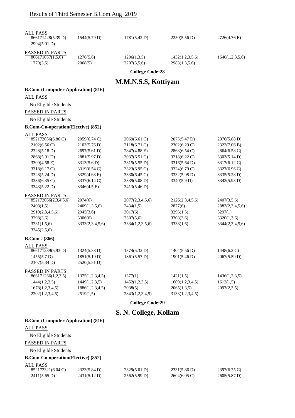| <b>ALL PASS</b><br>866171428(5.39 D)<br>2994(5.01 D) | 1544(5.79 D)                 | 1781(5.42 D)                 | 2250(5.56 D)                     | 2726(4.76 E)                   |
|------------------------------------------------------|------------------------------|------------------------------|----------------------------------|--------------------------------|
| PASSED IN PARTS<br>866171057(1,5,6)<br>1779(3,5)     | 1276(5,6)<br>2068(5)         | 1286(1,3,5)<br>2207(3,5,6)   | 1432(1,2,3,5,6)<br>2983(1,3,5,6) | 1646(1,2,3,5,6)                |
|                                                      |                              | <b>College Code:28</b>       |                                  |                                |
|                                                      |                              | <b>M.M.N.S.S, Kottiyam</b>   |                                  |                                |
| <b>B.Com-(Computer Application) (816)</b>            |                              |                              |                                  |                                |
| <b>ALL PASS</b>                                      |                              |                              |                                  |                                |
| No Eligible Students                                 |                              |                              |                                  |                                |
| PASSED IN PARTS                                      |                              |                              |                                  |                                |
| No Eligible Students                                 |                              |                              |                                  |                                |
| <b>B.Com-Co-operation(Elective) (852)</b>            |                              |                              |                                  |                                |
| <b>ALL PASS</b>                                      |                              |                              |                                  |                                |
| 852172056(6.86 C)                                    | 2059(6.74 C)                 | 2069(6.61 C)                 | 2075(5.47 D)                     | 2076(5.88 D)                   |
| $2102(6.56 \text{ C})$                               | 2103(5.76 D)                 | 2118(6.71 C)                 | 2302(6.29 C)                     | 2322(7.06 B)                   |
| 2328(5.18 D)                                         | 2697(5.61 D)                 | 2847(4.88 E)                 | 2863(6.54 C)                     | 2864(6.58 C)                   |
| 2868(5.91 D)                                         | 2881(5.97 D)                 | 3037(6.51 C)                 | 3218(6.22 C)                     | 3303(5.14 D)                   |
| 3309(4.58 E)                                         | 3313(5.6 D)                  | 3315(5.55 D)                 | 3316(5.64 D)                     | 3317(6.12 C)                   |
| 3318(6.17 C)                                         | 3319(6.54 C)                 | 3323(6.95 C)                 | 3324(6.79 C)                     | 3327(6.96 C)                   |
| 3328(5.24 D)                                         | 3329(4.68 E)                 | 3330(6.45 C)                 | 3332(5.98 D)                     | 3335(5.28 D)                   |
| 3336(6.35 C)                                         | 3337(6.14 C)                 | 3339(5.08 D)                 | 3340(5.9 D)                      | 3342(5.93 D)                   |
| 3343(5.22 D)                                         | 3346(4.5 E)                  | 3413(5.46 D)                 |                                  |                                |
| <b>PASSED IN PARTS</b>                               |                              |                              |                                  |                                |
| 852172066(2,3,4,5,6)                                 | 2074(6)                      | 2077(2,3,4,5,6)              | 2126(2,3,4,5,6)                  | 2407(3,5,6)                    |
| 2408(1,5)                                            | 2409(1,3,5,6)                | 2434(1,5)                    | 2877(6)                          | 2883(2,3,4,5,6)                |
| 2910(2,3,4,5,6)                                      | 2945(3,6)<br>3306(6)         | 3017(6)                      | 3296(1,5)                        | 3297(1)                        |
| 3298(3,6)<br>3331(1,5,6)                             | 3333(2,3,4,5,6)              | 3307(5,6)<br>3334(1,2,3,5,6) | 3308(3,6)<br>3338(1,6)           | 3320(1,3,6)<br>3344(2,3,4,5,6) |
| 3345(2,5,6)                                          |                              |                              |                                  |                                |
| $B. Com-. (866)$                                     |                              |                              |                                  |                                |
| <b>ALL PASS</b>                                      |                              |                              |                                  |                                |
| 866171239(5.93 D)                                    | 1324(5.38 D)                 | 1374(5.32 D)                 | 1404(5.56 D)                     | $1448(6.2 \text{ C})$          |
| 1455(5.7 D)                                          | 1851(5.19 D)                 | 1861(5.57 D)                 | 1901(5.46 D)                     | 2067(5.59 D)                   |
| 2107(5.34 D)                                         | 2520(5.51 D)                 |                              |                                  |                                |
| PASSED IN PARTS                                      |                              |                              |                                  |                                |
| 866171266(1,2,3,5)                                   | 1375(1,2,3,4,5)              | 1377(1)                      | 1421(1,5)                        | 1436(1,2,3,5)                  |
| 1444(1,2,3,5)                                        | 1449(1,2,3,5)                | 1452(1,2,3,5)<br>2038(5)     | 1609(1,2,3,4,5)                  | 1612(1,5)                      |
| 1678(1,2,3,4,5)<br>2202(1,2,3,4,5)                   | 1886(1,2,3,4,5)<br>2519(1,5) | 2843(1,2,3,4,5)              | 2065(1,3,5)<br>3133(1,2,3,4,5)   | 2097(2,3,5)                    |
|                                                      |                              | <b>College Code:29</b>       |                                  |                                |
|                                                      |                              |                              |                                  |                                |
|                                                      |                              | S. N. College, Kollam        |                                  |                                |
| <b>B.Com-(Computer Application) (816)</b>            |                              |                              |                                  |                                |
| <b>ALL PASS</b>                                      |                              |                              |                                  |                                |
| No Eligible Students                                 |                              |                              |                                  |                                |
| PASSED IN PARTS                                      |                              |                              |                                  |                                |
| No Eligible Students                                 |                              |                              |                                  |                                |
| <b>B.Com-Co-operation(Elective) (852)</b>            |                              |                              |                                  |                                |
| <b>ALL PASS</b>                                      |                              |                              |                                  |                                |
| 852172321(6.04 C)                                    | 2323(5.84 D)                 | 2329(5.01 D)                 | 2331(5.86 D)                     | 2397(6.25 C)                   |
| $2411(5.65 \text{ D})$                               | 2431(5.12 D)                 | 2562(5.99 D)                 | 2604(6.05 C)                     | 2605(5.87 D)                   |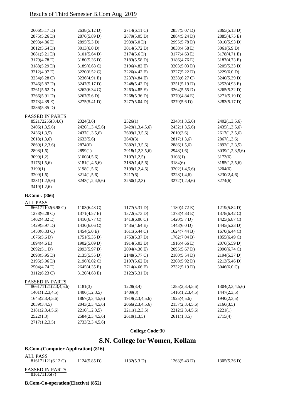| 2606(5.17 D)         | 2638(5.12 D)           | 2714(6.11 C)    | 2857(5.07 D)    | 2865(5.13 D)    |
|----------------------|------------------------|-----------------|-----------------|-----------------|
| 2875(5.26 D)         | 2876(5.89 D)           | 2879(5.05 D)    | 2884(5.24 D)    | 2885(4.75 E)    |
| 2893(4.86 E)         | 2895(5.3 D)            | 2939(5.0 D)     | 2995(5.78 D)    | 3010(5.93 D)    |
| 3012(5.64 D)         | 3013(6.0 D)            | 3014(5.72 D)    | 3038(4.58 E)    | 3061(5.9 D)     |
| 3081(5.21 D)         | 3101(5.64 D)           | 3174(5.6 D)     | 3177(4.63 E)    | 3178(4.71 E)    |
| 3179(4.78 E)         | 3180(5.36 D)           | 3183(5.58 D)    | 3186(4.76 E)    | 3187(4.73 E)    |
| 3188(5.29 D)         | 3189(6.68 C)           | 3196(4.82 E)    | 3203(5.03 D)    | 3205(5.33 D)    |
| 3212(4.97 E)         | 3220(6.52 C)           | 3226(4.42 E)    | 3227(5.22 D)    | 3229(6.0 D)     |
| 3234(6.28 C)         | 3236(4.91 E)           | 3237(4.84 E)    | 3238(6.27 C)    | 3240(5.39 D)    |
| 3246(5.87 D)         | 3247(5.17 D)           | 3248(5.42 D)    | 3251(5.19 D)    | 3253(4.93 E)    |
| 3261(5.62 D)         | 3262(6.34 C)           | 3263(4.85 E)    | 3264(5.55 D)    | 3265(5.32 D)    |
| 3266(5.91 D)         | 3267(5.6 D)            | 3268(5.36 D)    | 3270(4.84 E)    | 3271(5.19 D)    |
| 3273(4.39 E)         | 3275(5.41 D)           | 3277(5.04 D)    | 3279(5.6 D)     | 3283(5.17 D)    |
| 3286(5.35 D)         |                        |                 |                 |                 |
| PASSED IN PARTS      |                        |                 |                 |                 |
| 852172255(3,4,6)     | 2324(3,6)              | 2326(1)         | 2343(1,3,5,6)   | 2402(1,3,5,6)   |
| 2406(1,3,5,6)        | 2420(1,3,4,5,6)        | 2429(1,3,4,5,6) | 2432(1,3,5,6)   | 2435(1,3,5,6)   |
| 2436(1,3,5)          | 2437(1,3,5,6)          | 2609(1,3,5,6)   | 2610(3,6)       | 2617(1,3,5,6)   |
| 2618(1,3,6)          | 2633(5,6)              | 2643(3)         | 2817(1,3,6)     | 2867(1,3,6)     |
| 2869(1,2,3,6)        | 2874(6)                | 2882(1,3,5,6)   | 2886(1,5,6)     | 2892(1,2,3,5)   |
| 2898(1,6)            | 2899(1)                | 2918(1,2,3,5,6) | 2948(1,6)       | 3039(1,2,3,5,6) |
| 3099(1,2)            | 3100(4,5,6)            | 3107(1,2,5)     | 3108(1)         | 3173(6)         |
| 3175(1,5,6)          | 3181(1,4,5,6)          | 3182(1,4,5,6)   | 3184(6)         | 3185(1,2,5,6)   |
| 3190(1)              | 3198(1,5,6)            | 3199(1,2,4,6)   | 3202(1,4,5,6)   | 3204(6)         |
| 3209(1,6)            | 3214(1,5,6)            | 3217(6)         | 3228(1,4,6)     | 3230(2,4,6)     |
| 3231(1,2,5,6)        | 3243(1,2,4,5,6)        | 3250(1,2,3)     | 3272(1,2,4,6)   | 3274(6)         |
| 3419(1,2,6)          |                        |                 |                 |                 |
| B.Com-. (866)        |                        |                 |                 |                 |
| <b>ALL PASS</b>      |                        |                 |                 |                 |
| 866171102(6.98 C)    | $1103(6.43 \text{ C})$ | 1177(5.31 D)    | 1180(4.72 E)    | 1219(5.84 D)    |
| 1278(6.28 C)         | 1371(4.57 E)           | 1372(5.73 D)    | 1373(4.83 E)    | 1378(6.42 C)    |
| 1402(4.82 E)         | 1410(6.77 C)           | 1413(6.06 C)    | 1420(5.7 D)     | 1425(6.87 C)    |
| 1429(5.97 D)         | 1430(6.06 C)           | 1435(4.64 E)    | 1443(6.0 D)     | 1445(5.23 D)    |
| 1450(6.33 C)         | 1454(5.0 E)            | 1611(6.44 C)    | 1624(7.44 B)    | 1670(6.44 C)    |
| 1676(5.6 D)          | 1751(5.35 D)           | 1753(5.37 D)    | 1762(7.04 B)    | 1855(6.49 C)    |
| 1894(4.6 E)          | 1902(5.09 D)           | 1914(5.03 D)    | 1916(4.66 E)    | 2076(5.59 D)    |
| 2092(5.1 D)          | 2093(5.97 D)           | 2094(4.36 E)    | 2095(5.67 D)    | 2096(6.74 C)    |
| 2098(5.95 D)         | 2135(5.55 D)           | 2148(6.77 C)    | 2180(5.54 D)    | 2194(5.37 D)    |
| 2195(5.96 D)         | 2196(6.02 C)           | 2197(5.62 D)    | 2208(5.92 D)    | 2213(5.46 D)    |
| 2504(4.74 E)         | 2645(4.35 E)           | 2714(4.66 E)    | 2732(5.19 D)    | 3046(6.0 C)     |
| 3112(6.23 C)         | 3120(4.68 E)           | 3122(5.31 D)    |                 |                 |
| PASSED IN PARTS      |                        |                 |                 |                 |
| 866171121(2,3,4,5,6) | 1181(3)                | 1228(3,4)       | 1285(2,3,4,5,6) | 1304(2,3,4,5,6) |
| 1401(1,2,3,4,5)      | 1406(1,2,3,5)          | 1409(3)         | 1416(1,2,3,4,5) | 1447(2,3,5)     |
| 1645(2,3,4,5,6)      | 1867(2,3,4,5,6)        | 1919(2,3,4,5,6) | 1925(4,5,6)     | 1940(2,3,5)     |
| 2039(3,4,5)          | 2043(2,3,4,5,6)        | 2066(2,3,4,5,6) | 2157(2,3,4,5,6) | 2166(3,5)       |
| 2181(2,3,4,5,6)      | 2210(1,2,3,5)          | 2211(1,2,3,5)   | 2212(2,3,4,5,6) | 2221(1)         |
| 2522(1,3)            | 2584(2,3,4,5,6)        | 2610(1,3,5)     | 2611(1,3,5)     | 2715(4)         |
| 2717(1,2,3,5)        | 2733(2,3,4,5,6)        |                 |                 |                 |

### **College Code:30**

## **S.N. College for Women, Kollam**

#### **B.Com-(Computer Application) (816)**

| ALL PASS<br>816171121(6.12 C)   | $1124(5.85 \text{ D})$ | 1132(5.3 D) | 1263(5.43 D) | 1305(5.36 D) |
|---------------------------------|------------------------|-------------|--------------|--------------|
| PASSED IN PARTS<br>816171135(7) |                        |             |              |              |
|                                 |                        |             |              |              |

**B.Com-Co-operation(Elective) (852)**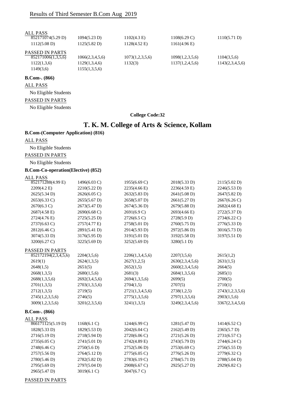| <b>ALL PASS</b>        |                 |                       |                        |                 |
|------------------------|-----------------|-----------------------|------------------------|-----------------|
| 852171074(5.29 D)      | 1094(5.23 D)    | $1102(4.3 \text{ E})$ | $1108(6.29 \text{ C})$ | 1110(5.71 D)    |
| $1112(5.08 \text{ D})$ | 1125(5.82 D)    | 1128(4.52 E)          | $1161(4.96 \text{ E})$ |                 |
| <b>PASSED IN PARTS</b> |                 |                       |                        |                 |
| 852171006(1,3,5,6)     | 1066(2,3,4,5,6) | 1073(1,2,3,5,6)       | 1098(1,2,3,5,6)        | 1104(3,5,6)     |
| 1122(1,3,6)            | 1129(1,3,4,6)   | 1132(3)               | 1137(1,2,4,5,6)        | 1143(2,3,4,5,6) |
| 1149(3,6)              | 1155(1,3,5,6)   |                       |                        |                 |
| $B. Com-. (866)$       |                 |                       |                        |                 |

ALL PASS

No Eligible Students

#### PASSED IN PARTS

No Eligible Students

#### **College Code:32**

### **T. K. M. College of Arts & Science, Kollam**

#### **B.Com-(Computer Application) (816)**

ALL PASS

No Eligible Students

PASSED IN PARTS

No Eligible Students

#### **B.Com-Co-operation(Elective) (852)**

#### ALL PASS

| 852171288(4.99 E)    | 1496(6.03 C)           | 1955(6.69 C)    | 2018(5.33 D)    | 2115(5.02 D)    |
|----------------------|------------------------|-----------------|-----------------|-----------------|
| 2209(4.2 E)          | 2210(5.22 D)           | 2235(4.66 E)    | 2236(4.59 E)    | 2246(5.53 D)    |
| 2625(5.34 D)         | $2626(6.05 \text{ C})$ | 2632(5.83 D)    | 2641(5.08 D)    | 2647(5.82 D)    |
| 2653(6.33 C)         | 2655(5.67 D)           | 2658(5.07 D)    | 2661(5.27 D)    | 2667(6.26 C)    |
| 2670(6.3 C)          | 2673(5.47 D)           | 2674(5.36 D)    | 2679(5.88 D)    | 2682(4.68 E)    |
| 2687(4.58 E)         | 2690(6.68 C)           | 2691(6.9 C)     | 2693(4.66 E)    | 2722(5.37 D)    |
| 2724(4.76 E)         | 2725(5.25 D)           | 2726(6.5 C)     | 2728(5.9 D)     | 2734(6.22 C)    |
| 2737(6.63 C)         | 2757(4.77 E)           | 2758(5.01 D)    | 2760(5.75 D)    | 2776(5.33 D)    |
| 2812(6.46 C)         | 2891(5.41 D)           | 2914(5.93 D)    | 2972(5.86 D)    | 3016(5.73 D)    |
| 3074(5.33 D)         | 3176(5.95 D)           | 3191(5.01 D)    | 3192(5.58 D)    | 3197(5.51 D)    |
| 3200(6.27 C)         | 3225(5.69 D)           | 3252(5.69 D)    | 3280(5.1 D)     |                 |
| PASSED IN PARTS      |                        |                 |                 |                 |
| 852172194(2,3,4,5,6) | 2204(3,5,6)            | 2206(1,3,4,5,6) | 2207(3,5,6)     | 2615(1,2)       |
| 2619(1)              | 2624(1,3,5)            | 2627(1,2,5)     | 2630(2,3,4,5,6) | 2631(1,5)       |
| 2648(1,5)            | 2651(5)                | 2652(1,5)       | 2660(2,3,4,5,6) | 2664(5)         |
| 2668(1,3,5)          | 2680(1,5,6)            | 2681(3)         | 2684(1,3,5,6)   | 2685(1)         |
| 2688(1,3,5,6)        | 2692(3,4,5,6)          | 2694(1,3,5,6)   | 2699(5)         | 2700(5)         |
| 2701(1,3,5)          | 2703(1,3,5,6)          | 2704(1,5)       | 2707(5)         | 2710(1)         |
| 2712(1,3,5)          | 2719(5)                | 2721(1,3,4,5,6) | 2738(1,2,5)     | 2743(1,2,3,5,6) |
| 2745(1,2,3,5,6)      | 2746(5)                | 2775(1,3,5,6)   | 2797(1,3,5,6)   | 2903(1,5,6)     |
| 3009(1,2,3,5,6)      | 3201(2,3,5,6)          | 3241(1,3,5)     | 3249(2,3,4,5,6) | 3367(2,3,4,5,6) |
| $B. Com-. (866)$     |                        |                 |                 |                 |
| <b>ALL PASS</b>      |                        |                 |                 |                 |
| 866171125(5.19 D)    | 1168(6.1 C)            | 1244(6.99 C)    | 1281(5.47 D)    | 1414(6.52 C)    |
| 1828(5.33 D)         | 1829(5.53 D)           | 2042(6.04 C)    | 2162(5.49 D)    | 2365(5.7 D)     |
| 2716(5.19 D)         | 2718(5.94 D)           | 2720(6.06 C)    | 2721(5.26 D)    | 2731(6.57 C)    |
| 2735(6.05 C)         | 2741(5.01 D)           | 2742(4.89 E)    | 2743(5.79 D)    | 2744(6.24 C)    |
| 2748(6.46 C)         | 2750(5.6 D)            | 2752(5.06 D)    | 2753(6.69 C)    | 2756(5.55 D)    |
| 2757(5.56 D)         | 2764(5.12 D)           | 2775(6.05 C)    | 2776(5.26D)     | 2779(6.32 C)    |
| 2780(5.46 D)         | 2782(5.82 D)           | 2783(6.19 C)    | 2784(5.71 D)    | 2788(5.04 D)    |
| 2795(5.69 D)         | 2797(5.04 D)           | 2908(6.67 C)    | 2925(5.27 D)    | 2929(6.82 C)    |
| 2965(5.47 D)         | 3019(6.1 C)            | 3047(6.7 C)     |                 |                 |
|                      |                        |                 |                 |                 |

PASSED IN PARTS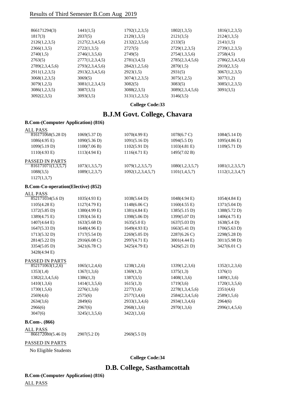| 866171294(3)    | 1441(1,5)       | 1792(1,2,3,5) | 1802(1,3,5)     | 1816(1,2,3,5)   |
|-----------------|-----------------|---------------|-----------------|-----------------|
| 1817(3)         | 2037(5)         | 2120(1,3,5)   | 2121(3,5)       | 2124(1,3,5)     |
| 2126(1,2,3,5)   | 2127(2,3,4,5,6) | 2132(2,3,5,6) | 2133(5)         | 2141(1,5)       |
| 2366(1,3,5)     | 2722(1,3,5)     | 2727(5)       | 2729(1,2,3,5)   | 2739(1,2,3,5)   |
| 2740(1,5)       | 2746(1,3,5,6)   | 2749(5)       | 2754(1,3,5,6)   | 2758(4,5)       |
| 2763(5)         | 2777(1,2,3,4,5) | 2781(3,4,5)   | 2785(2,3,4,5,6) | 2786(2,3,4,5,6) |
| 2789(2,3,4,5,6) | 2793(2,3,4,5,6) | 2842(1,2,5,6) | 2870(1,5)       | 2910(2,3,5)     |
| 2911(1,2,3,5)   | 2913(2,3,4,5,6) | 2923(1,5)     | 2931(5)         | 3067(1,2,3,5)   |
| 3068(1,2,3,5)   | 3069(5)         | 3074(1,2,3,5) | 3075(1,2,5)     | 3077(1,2)       |
| 3079(1,2,5)     | 3081(1,2,3,4,5) | 3082(5)       | 3083(5)         | 3085(1,2,3,5)   |
| 3086(1,2,3,5)   | 3087(3,5)       | 3088(2,3,5)   | 3089(2,3,4,5,6) | 3091(3.5)       |
| 3092(2,3,5)     | 3093(3,5)       | 3131(1,2,3,5) | 3146(3,5)       |                 |

**College Code:33**

### **B.J.M Govt. College, Chavara**

#### **B.Com-(Computer Application) (816)**

| ALL PASS               |                 |                   |                       |                        |
|------------------------|-----------------|-------------------|-----------------------|------------------------|
| 816171068(5.28 D)      | 1069(5.37 D)    | $1070(4.99)$ E)   | $1078(6.7 \text{ C})$ | 1084(5.14 D)           |
| $1086(4.95)$ E)        | 1090(5.36 D)    | 1091(5.16 D)      | 1094(5.5 D)           | $1095(4.86 \text{ E})$ |
| 1099(5.19 D)           | 1100(7.06 B)    | 1102(5.91 D)      | $1103(4.81)$ E)       | 1109(5.71 D)           |
| $1110(4.93)$ E)        | $1113(4.94)$ E) | $1116(4.71)$ E)   | 1495(7.02 B)          |                        |
| <b>PASSED IN PARTS</b> |                 |                   |                       |                        |
| 816171071(1,3,5,7)     | 1073(1,3,5,7)   | 1079(1,2,3,5,7)   | 1080(1,2,3,5,7)       | 1081(1,2,3,5,7)        |
| 1088(3,5)              | 1089(1,2,3,7)   | 1092(1,2,3,4,5,7) | 1101(1,4,5,7)         | 1112(1,2,3,4,7)        |
| 1127(1,3,7)            |                 |                   |                       |                        |

#### **B.Com-Co-operation(Elective) (852)**

| <b>ALL PASS</b>        |                        |                        |                        |                        |
|------------------------|------------------------|------------------------|------------------------|------------------------|
| 852171034(5.6 D)       | $1035(4.93 \text{ E})$ | $1038(5.64 \text{ D})$ | $1048(4.94)$ E)        | $1054(4.84)$ E)        |
| $1105(4.28 \text{ E})$ | $1127(4.79 \text{ E})$ | $1148(6.06 \text{ C})$ | $1160(4.55 \text{ E})$ | $1371(5.04 \text{ D})$ |
| $1372(5.85 \text{ D})$ | 1380(4.99 E)           | 1381(4.84 E)           | 1385(5.15 D)           | 1388(5.72 D)           |
| 1389(4.75 E)           | 1393(4.56 E)           | 1398(5.06 D)           | 1399(5.07 D)           | $1406(4.75 \text{ E})$ |
| $1407(4.64 \text{ E})$ | $1633(5.68 \text{ D})$ | $1635(5.0 \text{ E})$  | 1637(5.03 D)           | 1638(5.4 D)            |
| 1647(5.33 D)           | $1648(4.96 \text{ E})$ | 1649(4.93 E)           | 1663(5.41 D)           | 1706(5.63 D)           |
| 1713(5.32 D)           | 1717(5.54 D)           | 2269(5.05 D)           | $2287(6.26 \text{ C})$ | 2298(5.28 D)           |
| 2814(5.22 D)           | 2916(6.08 C)           | 2997(4.71 E)           | 3001(4.44 E)           | 3011(5.98 D)           |
| 3354(5.05 D)           | 3421(6.78 C)           | 3425(4.79 E)           | 3426(5.21 D)           | 3427(6.01 C)           |
| 3428(4.94 E)           |                        |                        |                        |                        |
| PASSED IN PARTS        |                        |                        |                        |                        |
| 852171063(1,2,6)       | 1065(1,2,4,6)          | 1238(1,2,6)            | 1339(1,2,3,6)          | 1352(1,2,3,6)          |
| 1353(1,4)              | 1367(1,3,6)            | 1369(1,3)              | 1375(1,3)              | 1376(1)                |
| 1382(2,3,4,5,6)        | 1386(1,3)              | 1387(3,5)              | 1408(1,3,6)            | 1409(1,3,6)            |
| 1410(1,3,6)            | 1414(1,3,5,6)          | 1615(1,3)              | 1719(3,6)              | 1720(1,3,5,6)          |
| 1730(1,5,6)            | 2276(1,3,6)            | 2277(1,6)              | 2278(1,3,4,5,6)        | 2351(4,6)              |
| 2569(4,6)              | 2575(6)                | 2577(3,4,6)            | 2584(2,3,4,5,6)        | 2589(1,5,6)            |
| 2634(3,6)              | 2849(6)                | 2933(1,3,4,6)          | 2934(1,3,4,6)          | 2964(6)                |
| 2966(6)                | 2967(6)                | 2968(1,3,6)            | 2970(1,3,6)            | 2996(1,4,5,6)          |
| 3047(6)                | 3245(1,3,5,6)          | 3422(1,3,6)            |                        |                        |
|                        |                        |                        |                        |                        |

#### **B.Com-. (866)**

| ALL PASS          |             |             |
|-------------------|-------------|-------------|
| 866172080(5.46 D) | 2907(5.2 D) | 2969(5.5 D) |

#### PASSED IN PARTS

No Eligible Students

**College Code:34**

### **D.B. College, Sasthamcottah**

**B.Com-(Computer Application) (816)**

ALL PASS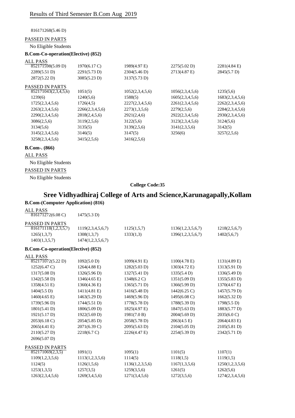816171268(5.46 D)

#### PASSED IN PARTS

No Eligible Students

#### **B.Com-Co-operation(Elective) (852)**

| <b>ALL PASS</b>        |                 |                 |                 |                 |
|------------------------|-----------------|-----------------|-----------------|-----------------|
| 852171598(5.09 D)      | 1970(6.17 C)    | 1989(4.97 E)    | 2275(5.02 D)    | $2281(4.84)$ E) |
| 2289(5.51 D)           | 2291(5.73 D)    | 2304(5.46 D)    | 2713(4.87 E)    | 2845(5.7 D)     |
| 2872(5.22 D)           | 3085(5.23 D)    | 3137(5.73 D)    |                 |                 |
| <b>PASSED IN PARTS</b> |                 |                 |                 |                 |
| 852171043(2,3,4,5,6)   | 1051(5)         | 1052(2,3,4,5,6) | 1056(2,3,4,5,6) | 1235(5,6)       |
| 1239(6)                | 1240(5,6)       | 1588(5)         | 1605(2,3,4,5,6) | 1683(2,3,4,5,6) |
| 1725(2,3,4,5,6)        | 1726(4,5)       | 2227(2,3,4,5,6) | 2261(2,3,4,5,6) | 2262(2,3,4,5,6) |
| 2263(2,3,4,5,6)        | 2266(2,3,4,5,6) | 2273(1,3,5,6)   | 2279(2,5,6)     | 2284(2,3,4,5,6) |
| 2290(2,3,4,5,6)        | 2818(2,4,5,6)   | 2921(2,4,6)     | 2922(2,3,4,5,6) | 2930(2,3,4,5,6) |
| 3086(2,5,6)            | 3119(2,5,6)     | 3122(5,6)       | 3123(2,3,4,5,6) | 3124(5,6)       |
| 3134(5,6)              | 3135(5)         | 3139(2,5,6)     | 3141(2,3,5,6)   | 3142(5)         |
| 3145(2,3,4,5,6)        | 3146(5)         | 3147(5)         | 3256(6)         | 3257(2,5,6)     |
| 3258(2,3,4,5,6)        | 3415(2,5,6)     | 3416(2,5,6)     |                 |                 |

#### **B.Com-. (866)**

#### ALL PASS

No Eligible Students

#### PASSED IN PARTS

No Eligible Students

#### **College Code:35**

### **Sree Vidhyadhiraj College of Arts and Science,Karunagapally,Kollam B.Com-(Computer Application) (816)**

| <b>ALL PASS</b>                            |                        |                       |                        |                        |
|--------------------------------------------|------------------------|-----------------------|------------------------|------------------------|
| $816171272(6.08 \text{ C})$                | 1475(5.3 D)            |                       |                        |                        |
| PASSED IN PARTS                            |                        |                       |                        |                        |
| 816171118(1,2,3,5,7)                       | 1119(2,3,4,5,6,7)      | 1125(1,5,7)           | 1136(1,2,3,5,6,7)      | 1218(2,5,6,7)          |
| 1265(1,3,7)                                | 1308(1,3,7)            | 1333(1,3)             | 1396(1,2,3,5,6,7)      | 1402(5,6,7)            |
| 1403(1,3,5,7)                              | 1474(1,2,3,5,6,7)      |                       |                        |                        |
| <b>B.Com-Co-operation</b> (Elective) (852) |                        |                       |                        |                        |
| <b>ALL PASS</b>                            |                        |                       |                        |                        |
| 852171072(5.22 D)                          | 1092(5.0 D)            | 1099(4.91 E)          | $1100(4.78 \text{ E})$ | $1131(4.89)$ E)        |
| $1252(6.47 \text{ C})$                     | 1264(4.88 E)           | 1282(5.03 D)          | 1303(4.72 E)           | 1313(5.91 D)           |
| $1317(5.08 \text{ D})$                     | 1326(5.96 D)           | 1327(5.41 D)          | 1335(5.4 D)            | 1336(5.49 D)           |
| 1342(5.58 D)                               | 1346(4.65 E)           | $1348(6.2 \text{ C})$ | 1351(5.09 D)           | 1355(5.83 D)           |
| 1358(4.51 E)                               | 1360(4.36 E)           | 1365(5.71 D)          | 1366(5.99 D)           | 1370(4.67 E)           |
| 1404(5.5 D)                                | 1411(4.81 E)           | 1416(5.48 D)          | $1442(6.25 \text{ C})$ | 1457(5.79 D)           |
| $1460(4.65 \text{ E})$                     | 1463(5.29 D)           | 1469(5.96 D)          | 1495(6.08 C)           | 1662(5.32 D)           |
| 1739(5.96 D)                               | 1744(5.51 D)           | 1778(5.78 D)          | 1788(5.39 D)           | 1798(5.5 D)            |
| 1801(5.41 D)                               | 1806(5.09 D)           | 1825(4.97 E)          | $1847(5.63 \text{ D})$ | 1883(5.77 D)           |
| 1921(5.17 D)                               | 1922(5.69 D)           | 1981(7.0 B)           | 2004(5.69 D)           | 2035(6.0 C)            |
| 2053(6.18 C)                               | $2054(5.85 \text{ D})$ | 2058(5.78 D)          | $2063(4.5 \text{ E})$  | $2064(4.83 \text{ E})$ |
| 2065(4.41 E)                               | 2071(6.39 C)           | 2095(5.63 D)          | 2104(5.05 D)           | 2105(5.81 D)           |
| 2110(5.27 D)                               | 2218(6.7 C)            | 2226(4.47 E)          | 2254(5.39 D)           | 2342(5.71 D)           |
| 2696(5.07 D)                               |                        |                       |                        |                        |
| PASSED IN PARTS                            |                        |                       |                        |                        |
| 852171069(2,3,5)                           | 1091(1)                | 1095(1)               | 1101(5)                | 1107(1)                |
| 1109(1,2,3,5,6)                            | 1113(1,2,3,5,6)        | 1114(5)               | 1118(1,5)              | 1119(1,5)              |
| 1124(5)                                    | 1126(1,5,6)            | 1136(1,2,3,5,6)       | 1167(1,3,5,6)          | 1250(1,2,3,5,6)        |
| 1253(1,3,5)                                | 1257(3,5)              | 1259(3,5,6)           | 1261(5)                | 1262(5,6)              |
| 1263(2,3,4,5,6)                            | 1269(3,4,5,6)          | 1271(3,4,5,6)         | 1272(3,5,6)            | 1274(2,3,4,5,6)        |
|                                            |                        |                       |                        |                        |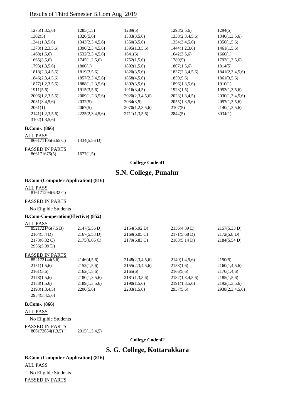| 1275(1,3,5,6)   | 1285(1,5)       | 1289(5)         | 1293(2,5,6)     | 1294(5)         |
|-----------------|-----------------|-----------------|-----------------|-----------------|
| 1302(5)         | 1320(5,6)       | 1333(3,5,6)     | 1338(2,3,4,5,6) | 1340(1,3,5,6)   |
| 1341(1,3,5,6)   | 1343(2,3,4,5,6) | 1350(3,5,6)     | 1354(3,4,5,6)   | 1356(1,5,6)     |
| 1373(1,2,3,5,6) | 1390(2,3,4,5,6) | 1395(1,3,5,6)   | 1444(1,2,3,6)   | 1461(1,5,6)     |
| 1468(1,5,6)     | 1532(2,3,4,5,6) | 1641(6)         | 1642(3,5,6)     | 1660(1)         |
| 1665(3,5,6)     | 1745(1,2,5,6)   | 1752(1,5,6)     | 1789(5)         | 1792(1,3,5,6)   |
| 1793(1,3,5,6)   | 1800(1)         | 1802(1,5,6)     | 1807(1,5,6)     | 1814(5)         |
| 1818(2,3,4,5,6) | 1819(3,5,6)     | 1820(3,5,6)     | 1837(2,3,4,5,6) | 1841(2,3,4,5,6) |
| 1846(2,3,4,5,6) | 1857(2,3,4,5,6) | 1858(4,5,6)     | 1859(5,6)       | 1861(3,5,6)     |
| 1877(1,2,3,5,6) | 1888(1,2,3,5,6) | 1892(3,5,6)     | 1896(1,3,5,6)   | 1910(1)         |
| 1911(5,6)       | 1915(3,5,6)     | 1916(3,4,5)     | 1923(1,5)       | 1953(1,3,5,6)   |
| 2006(1,2,3,5,6) | 2009(1,2,3,5,6) | 2020(2,3,4,5,6) | 2023(1,3,4,5)   | 2030(1,3,4,5,6) |
| 2031(3,4,5,6)   | 2032(5)         | 2034(3.5)       | 2055(1,3,5,6)   | 2057(1,3,5,6)   |
| 2061(1)         | 2067(5)         | 2070(1,2,3,5,6) | 2107(5)         | 2140(1,3,5,6)   |
| 2141(1,2,3,5,6) | 2225(2,3,4,5,6) | 2711(1,3,5,6)   | 2844(5)         | 3034(1)         |
| 3102(1,3,5,6)   |                 |                 |                 |                 |

#### **B.Com-. (866)**

| ALL PASS<br>$866171105(6.65 \text{ C})$ | 1434(5.56 D) |
|-----------------------------------------|--------------|
| PASSED IN PARTS<br>866171675(5)         | 1677(1,5)    |

**College Code:41**

### **S.N. College, Punalur**

#### **B.Com-(Computer Application) (816)**

#### ALL PASS

816171294(6.32 C)

#### PASSED IN PARTS

No Eligible Students

#### **B.Com-Co-operation(Elective) (852)**

| <b>ALL PASS</b>        |                        |                        |                 |                 |
|------------------------|------------------------|------------------------|-----------------|-----------------|
| 852172145(7.5 B)       | 2147(5.56 D)           | 2154(5.92 D)           | $2156(4.89)$ E) | 2157(5.33 D)    |
| 2164(5.4 D)            | 2167(5.53 D)           | $2169(6.05 \text{ C})$ | 2171(5.68 D)    | 2172(5.8 D)     |
| $2173(6.32 \text{ C})$ | $2175(6.06 \text{ C})$ | $2179(6.83 \text{ C})$ | 2183(5.14 D)    | 2184(5.54 D)    |
| 2956(5.09 D)           |                        |                        |                 |                 |
| <b>PASSED IN PARTS</b> |                        |                        |                 |                 |
| 852172144(5,6)         | 2146(4,5,6)            | 2148(2,3,4,5,6)        | 2149(1,4,5,6)   | 2150(5)         |
| 2151(1,5,6)            | 2152(1,5,6)            | 2155(2,3,4,5,6)        | 2158(1,6)       | 2160(1,4,5,6)   |
| 2161(5,6)              | 2162(1,5,6)            | 2165(6)                | 2166(5,6)       | 2170(1,4,6)     |
| 2178(1,5,6)            | 2180(1,3,5,6)          | 2181(1,3,5,6)          | 2182(1,3,4,5,6) | 2185(1,5,6)     |
| 2188(1,5,6)            | 2189(1,3,5,6)          | 2190(1,5,6)            | 2191(1,3,5,6)   | 2192(1,3,5,6)   |
| 2193(1,3,4,5)          | 2200(5,6)              | 2203(1,5,6)            | 2937(5,6)       | 2938(2,3,4,5,6) |
| 2954(3,4,5,6)          |                        |                        |                 |                 |
|                        |                        |                        |                 |                 |

#### **B.Com-. (866)**

ALL PASS

No Eligible Students

#### PASSED IN PARTS

 $866172654(1,3,5)$  2915(1,3,4,5)

**College Code:42**

### **S. G. College, Kottarakkara**

### **B.Com-(Computer Application) (816)** ALL PASS No Eligible Students PASSED IN PARTS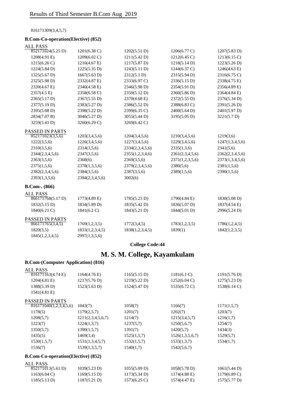816171309(3,4,5,7)

#### **B.Com-Co-operation(Elective) (852)**

| <b>ALL PASS</b>        |                 |                 |                 |                 |
|------------------------|-----------------|-----------------|-----------------|-----------------|
| 852171024(5.25 D)      | $1201(6.38)$ C) | 1202(5.51 D)    | 1206(6.77 C)    | 1207(5.83 D)    |
| 1208(4.91 E)           | 1209(6.02 C)    | 1211(5.42 D)    | 1212(6.45 C)    | 1213(6.15 C)    |
| 1215(6.26 C)           | 1216(4.67 E)    | 1217(5.87 D)    | 1218(5.14 D)    | 1223(5.26 D)    |
| 1224(5.84 D)           | 1225(5.35 D)    | 1243(5.11 D)    | 1244(6.37 C)    | 1246(4.63 E)    |
| $1325(5.67 \text{ D})$ | 1667(5.63 D)    | 2312(5.1 D)     | 2315(5.94 D)    | 2316(6.75 C)    |
| 2325(5.98 D)           | 2332(4.87 E)    | 2333(6.97 C)    | 2336(5.15 D)    | 2338(4.75 E)    |
| 2339(4.67 E)           | 2340(4.58 E)    | 2346(5.98 D)    | 2354(5.91 D)    | 2356(4.89 E)    |
| 2357(4.5 E)            | 2358(6.58 C)    | 2359(5.12 D)    | 2360(5.86 D)    | 2364(4.84 E)    |
| 2365(5.17 D)           | 2367(5.55 D)    | 2370(4.68 E)    | 2372(5.55 D)    | 2376(5.34 D)    |
| 2377(5.19 D)           | 2383(5.27 D)    | 2386(5.52 D)    | 2388(6.83 C)    | 2391(5.26 D)    |
| 2395(5.08 D)           | 2398(5.22 D)    | 2399(6.35 C)    | 2400(5.64 D)    | 2401(5.97 D)    |
| 2834(7.07 B)           | 3046(5.27 D)    | 3055(5.44 D)    | 3195(5.05 D)    | 3221(5.7 D)     |
| 3259(5.41 D)           | 3260(6.29 C)    | 3269(6.42 C)    |                 |                 |
| PASSED IN PARTS        |                 |                 |                 |                 |
| 852171023(3,5,6)       | 1203(3,4,5,6)   | 1204(3,4,5,6)   | 1210(3,4,5,6)   | 1219(3,6)       |
| 1222(3,5,6)            | 1226(3,4,5,6)   | 1227(3,4,5,6)   | 1229(3,4,5,6)   | 1247(1,3,4,5,6) |
| 2310(3,5,6)            | 2314(3,5,6)     | 2334(2,3,4,5,6) | 2335(1,3,6)     | 2341(5,6)       |
| 2344(2,3,4,5,6)        | 2347(3,5,6)     | 2355(1,2,3,4,6) | 2361(2,3,4,5,6) | 2362(2,3,4,5,6) |
| 2363(3,5,6)            | 2368(6)         | 2369(3,5,6)     | 2371(1,2,3,5,6) | 2373(1,3,4,5,6) |
| 2375(1,5,6)            | 2378(1,3,5,6)   | 2379(2,3,4,5,6) | 2380(5,6)       | 2381(1,5,6)     |
| 2382(2,3,4,5,6)        | 2384(3,5,6)     | 2387(3,5,6)     | 2389(1,5,6)     | 2390(1,5,6)     |
| 2393(1,3,5,6)          | 2394(2,3,4,5,6) | 3002(6)         |                 |                 |
| <b>B.Com-.</b> (866)   |                 |                 |                 |                 |
| <b>ALL PASS</b>        |                 |                 |                 |                 |
| 866171768(5.17 D)      | 1773(4.89 E)    | 1785(5.23 D)    | 1790(4.84 E)    | 1830(5.08 D)    |
| 1832(5.15 D)           | 1834(5.89 D)    | 1835(5.42 D)    | 1836(5.07 D)    | 1837(4.54 E)    |
| 1840(6.21 C)           | 1841(6.2 C)     | 1843(5.21 D)    | 1844(5.01 D)    | 2996(5.24 D)    |
| PASSED IN PARTS        |                 |                 |                 |                 |
| 866171765(3,4,5)       | 1769(1,2,3,5)   | 1772(3,4,5)     | 1783(1,2,3,5)   | 1786(1,2,4,5)   |
| 1820(3,5)              | 1833(1,2,3,4,5) | 1838(1,2,3,4,5) | 1839(1)         | 1842(1,2,3,5)   |
| 1845(1,2,3,4,5)        | 2997(1,3,5,6)   |                 |                 |                 |

**College Code:44**

### **M. S. M. College, Kayamkulam**

#### **B.Com-(Computer Application) (816)**

| <b>ALL PASS</b>                            |                        |                        |                        |                        |
|--------------------------------------------|------------------------|------------------------|------------------------|------------------------|
| 816171163(4.74 E)                          | $1164(4.76 \text{ E})$ | 1165(5.15 D)           | 1181(6.1 C)            | 1191(5.76 D)           |
| $1204(4.81)$ E)                            | 1217(5.76 D)           | 1219(5.22 D)           | $1252(6.04 \text{ C})$ | 1275(5.23 D)           |
| 1388(5.39 D)                               | 1523(5.63 D)           | $1524(5.47 \text{ D})$ | 1535(6.72 C)           | 1538(6.14 C)           |
| $1541(4.81)$ E)                            |                        |                        |                        |                        |
| <b>PASSED IN PARTS</b>                     |                        |                        |                        |                        |
| 816171040(1,2,3,4,5,6)                     | 1043(7)                | 1058(7)                | 1166(7)                | 1171(1,5,7)            |
| 1178(5)                                    | 1179(2,5,7)            | 1201(7)                | 1202(7)                | 1203(7)                |
| 1208(5,7)                                  | 1211(2,3,4,5,6,7)      | 1214(7)                | 1215(3,4,5,7)          | 1216(1,7)              |
| 1223(7)                                    | 1224(1,3,7)            | 1237(5,7)              | 1250(5,6,7)            | 1254(7)                |
| 1350(5,7)                                  | 1390(1,5,7)            | 1391(7)                | 1420(5,7)              | 1434(3)                |
| 1435(5)                                    | 1469(3,4)              | 1525(1,5,7)            | 1526(1,3,5,6,7)        | 1529(5,7)              |
| 1530(1,5,7)                                | 1531(1,3,4,5,7)        | 1532(1,5,7)            | 1533(1,3,7)            | 1534(1,7)              |
| 1536(7)                                    | 1539(1,3,5,7)          | 1540(1,7)              | 1542(5,6,7)            |                        |
| <b>B.Com-Co-operation</b> (Elective) (852) |                        |                        |                        |                        |
| <b>ALL PASS</b>                            |                        |                        |                        |                        |
| 852171013(5.61 D)                          | 1039(5.23 D)           | 1055(5.09 D)           | 1058(5.78 D)           | 1061(5.44 D)           |
| $1163(6.04 \text{ C})$                     | 1169(5.15 D)           | 1173(5.34 D)           | 1174(4.88 E)           | $1179(6.89 \text{ C})$ |
| 1185(5.13 D)                               | 1187(5.21 D)           | 1573(6.25 C)           | 1574(4.47 E)           | 1575(5.77 D)           |
|                                            |                        |                        |                        |                        |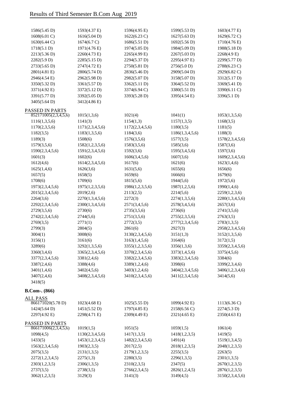| 1586(5.45 D)                            | 1593(4.37 E)           | 1596(4.95 E)           | 1599(5.53 D)    | $1603(4.77)$ E)        |
|-----------------------------------------|------------------------|------------------------|-----------------|------------------------|
| 1608(6.01 C)                            | 1616(5.04 D)           | $1622(6.23 \text{ C})$ | 1627(5.63 D)    | 1629(6.72 C)           |
| 1630(6.44 C)                            | 1674(6.7 C)            | 1686(5.51 D)           | 1692(5.56 D)    | 1710(4.76 E)           |
| 1718(5.1 D)                             | 1971(4.76 E)           | 1974(5.05 D)           | 1984(5.09 D)    | 1988(5.18 D)           |
| 2213(5.36 D)                            | 2260(4.73 E)           | 2265(4.99 E)           | 2267(5.03 D)    | 2268(4.9 E)            |
| 2282(5.9 D)                             | 2285(5.15 D)           | 2294(5.37 D)           | 2295(4.97 E)    | 2299(5.77 D)           |
| 2733(5.65 D)                            | 2747(4.72 E)           | 2750(5.81 D)           | 2756(5.0 D)     | 2788(6.23 C)           |
| 2801(4.81 E)                            | 2806(5.74 D)           | 2836(5.46 D)           | 2909(5.04 D)    | 2929(6.82 C)           |
| 2946(4.54 E)                            | 2962(5.98 D)           | 2982(5.07 D)           | 3158(5.07 D)    | 3312(5.17 D)           |
| 3350(5.32 D)                            | 3361(5.57 D)           | 3362(5.11 D)           | 3364(5.52 D)    | 3369(5.41 D)           |
| 3371(4.92 E)                            | 3372(5.12 D)           | 3374(6.94 C)           | 3380(5.51 D)    | 3390(6.11 C)           |
| 3391(5.77 D)                            | 3392(5.05 D)           | 3393(5.28 D)           | 3395(4.54 E)    | 3396(5.1 D)            |
| 3405(5.64 D)                            | 3412(4.86 E)           |                        |                 |                        |
| PASSED IN PARTS<br>852171005(2,3,4,5,6) |                        |                        |                 |                        |
|                                         | 1015(1,3,6)            | 1021(4)                | 1041(1)         | 1053(1,3,5,6)          |
| 1116(1,3,5,6)                           | 1141(3)                | 1154(1,3)              | 1157(1,3,5)     | 1168(3,5)              |
| 1170(2,3,5,6)                           | 1171(2,3,4,5,6)        | 1172(2,3,4,5,6)        | 1180(3,5)       | 1181(5)                |
| 1182(3,5)                               | 1183(1,3,5,6)          | 1184(3,6)              | 1186(1,3,4,5,6) | 1188(3)                |
| 1189(3)                                 | 1508(6)                | 1576(3,5,6)            | 1577(3,5)       | 1578(2,3,4,5,6)        |
| 1579(3,5,6)                             | 1582(1,2,3,5,6)        | 1583(3,5,6)            | 1585(3,6)       | 1587(3,6)              |
| 1590(2,3,4,5,6)                         | 1591(2,3,4,5,6)        | 1592(3,6)              | 1595(3,4,5,6)   | 1597(3,6)              |
| 1601(3)                                 | 1602(6)                | 1606(3,4,5,6)          | 1607(3,6)       | 1609(2,3,4,5,6)        |
| 1612(4,6)                               | 1614(2,3,4,5,6)        | 1617(6)                | 1621(6)         | 1623(1,4,6)            |
| 1625(1,4,6)                             | 1626(3,6)              | 1631(5,6)              | 1655(6)         | 1656(6)                |
| 1657(5)                                 | 1658(5)                | 1659(6)                | 1666(6)         | 1679(6)                |
| 1708(6)                                 | 1709(6)                | 1815(5,6)              | 1944(5,6)       | 1972(5,6)              |
| 1973(2,3,4,5,6)                         | 1975(1,2,3,5,6)        | 1986(1,2,3,5,6)        | 1987(1,2,5,6)   | 1990(1,4,6)            |
| 2015(2,3,4,5,6)                         | 2019(2,6)              | 2113(2,5)              | 2214(5,6)       | 2259(1,2,3,6)          |
| 2264(3,6)                               | 2270(1,3,4,5,6)        | 2272(3)                | 2274(1,3,5,6)   | 2280(1,3,4,5,6)        |
| 2292(2,3,4,5,6)                         | 2300(1,3,4,5,6)        | 2571(3,4,5,6)          | 2578(3,4,5,6)   | 2657(3,6)              |
| 2729(3,5,6)                             | 2730(6)                | 2735(3,5,6)            | 2736(6)         | 2741(3,5,6)            |
| 2742(2,3,4,5,6)                         | 2744(5,6)              | 2751(3,5,6)            | 2755(2,3,5,6)   | 2763(3,5)              |
| 2769(3,5)                               | 2771(1)                | 2772(3,5)              | 2777(2,3,4,5,6) | 2783(1,3,5)            |
| 2799(3)                                 | 2804(5)                | 2861(6)                | 2927(3)         | 2958(2,3,4,5,6)        |
| 3004(1)                                 | 3008(6)                | 3130(2,3,4,5,6)        | 3151(1,3)       | 3152(1,3,5,6)          |
| 3156(1)                                 | 3161(6)                | 3163(1,4,5,6)          | 3164(6)         | 3172(1,5)              |
| 3289(6)                                 | 3292(1,3,5,6)          | 3355(1,2,3,5,6)        | 3356(1,3,6)     | 3359(2,3,4,5,6)        |
| 3360(3,4,6)                             | 3365(2,3,4,5,6)        | 3370(2,3,4,5,6)        | 3373(1,4,5,6)   | 3375(4,5,6)            |
| 3377(2,3,4,5,6)                         | 3381(2,4,6)            | 3382(2,3,4,5,6)        | 3383(2,3,4,5,6) | 3384(6)                |
| 3387(2,4,6)                             | 3388(4,6)              | 3389(1,2,4,6)          | 3398(6)         | 3399(2,3,4,6)          |
| 3401(1,4,6)                             | 3402(4,5,6)            | 3403(1,2,4,6)          | 3404(2,3,4,5,6) | 3406(1,2,3,4,6)        |
| 3407(2,4,6)                             | 3408(2,3,4,5,6)        | 3410(2,3,4,5,6)        | 3411(2,3,4,5,6) | 3414(5,6)              |
| 3418(5)                                 |                        |                        |                 |                        |
| <b>B.Com-. (866)</b>                    |                        |                        |                 |                        |
| <b>ALL PASS</b>                         |                        |                        |                 |                        |
| 866171020(5.78 D)                       | $1023(4.68 \text{ E})$ | 1025(5.55 D)           | 1099(4.92 E)    | $1113(6.36 \text{ C})$ |
| $1424(5.64 \text{ D})$                  | 1451(5.52 D)           | 1797(4.85 E)           | 2158(6.56 C)    | 2274(5.3 D)            |
| 2297(4.92 E)                            | 2298(4.71 E)           | 2309(4.49 E)           | 2321(4.65 E)    | 2350(4.63 E)           |
| PASSED IN PARTS<br>866171006(2,3,4,5,6) | 1019(1,5)              | 1051(5)                | 1059(1,5)       | 1061(4)                |
| 1098(4,5)                               | 1130(2,3,4,5,6)        | 1417(1,3,5)            | 1418(1,2,3,5)   | 1419(5)                |
| 1433(5)                                 | 1453(1,2,3,4,5)        | 1482(2,3,4,5,6)        | 1491(4)         | 1519(1,3,4,5)          |
| 1563(2,3,4,5,6)                         | 1903(2,3,5)            | 2017(2,5)              | 2018(1,2,3,5)   | 2048(1,2,3,5)          |
|                                         | 2131(1,3,5)            | 2179(1,2,3,5)          |                 | 2263(5)                |
| 2075(3,5)<br>2272(1,2,3,4,5)            | 2275(1,3)              |                        | 2255(3,5)       |                        |
|                                         |                        | 2280(3,5)              | 2296(1,3,5)     | 2301(1,3,5)            |
| 2303(1,2,3,5)                           | 2306(1,3,5)            | 2310(2,3,5)            | 2347(5)         | 2670(1,2,3,5)          |
| 2737(3,5)                               | 2738(3,5)              | 2766(2,3,4,5)          | 2826(1,2,4,5)   | 2876(1,2,3,5)          |
| 3062(1,2,3,5)                           | 3129(3)                | 3141(3)                | 3149(4,5)       | 3150(2,3,4,5,6)        |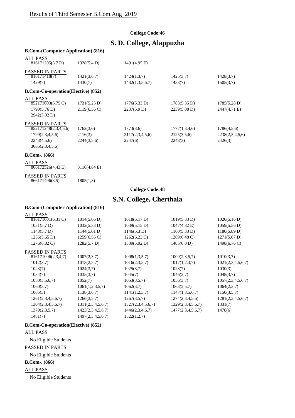### **S. D. College, Alappuzha B.Com-(Computer Application) (816)** ALL PASS PASSED IN PARTS **B.Com-Co-operation(Elective) (852)** ALL PASS PASSED IN PARTS **B.Com-. (866)** ALL PASS PASSED IN PARTS  $\frac{124 \times 135}{816171205(5.7 \text{ D})}$  1328(5.4 D) 1491(4.95 E) 816171418(7) 1421(3,6,7) 1424(1,3,7) 1425(3,7) 1428(3,7) 1429(7) 1430(7) 1432(1,3,5,6,7) 1433(7) 1505(3,7) 852171003(6.75 C) 1731(5.25 D) 1776(5.33 D) 1783(5.35 D) 1785(5.28 D) 1790(5.76 D) 2119(6.36 C) 2237(5.9 D) 2239(5.08 D) 2447(4.71 E) 2942(5.92 D)  $\overline{852171248(2,3,4,5,6)}$  1762(3,6) 1773(3,6) 1777(1,3,4,6) 1786(4,5,6) 1799(2,3,4,5,6) 2116(3) 2117(2,3,4,5,6) 2125(3,5,6) 2238(2,3,4,5,6) 2243(4,5,6) 2244(3,5,6) 2247(6) 2248(3) 2426(3) 3065(2,3,4,5,6) 866172526(4.43 E) 3116(4.84 E)

 $866171496(3,5)$  1805(1,3)

**College Code:48**

### **S.N. College, Cherthala**

#### **B.Com-(Computer Application) (816)**

| ALL PASS               |                        |                        |                        |                        |
|------------------------|------------------------|------------------------|------------------------|------------------------|
| 816171001(6.31 C)      | 1014(5.06 D)           | 1018(5.17 D)           | 1019(5.83 D)           | 1020(5.16 D)           |
| 1031(5.7 D)            | 1032(5.33 D)           | 1039(5.15 D)           | $1047(4.82)$ E)        | 1059(5.56 D)           |
| 1143(5.7 D)            | 1144(5.01 D)           | 1146(5.3 D)            | 1160(5.33 D)           | 1180(5.89 D)           |
| $1256(5.65 \text{ D})$ | $1259(6.56 \text{ C})$ | $1262(6.23 \text{ C})$ | $1269(6.48 \text{ C})$ | $1271(5.87 \text{ D})$ |
| $1276(6.02 \text{ C})$ | 1282(5.7 D)            | 1339(5.92 D)           | 1405(6.0 D)            | 1498(6.76 C)           |
| PASSED IN PARTS        |                        |                        |                        |                        |
| 816171006(2,3,4,7)     | 1007(2,3,7)            | 1008(1,3,5,7)          | 1009(2,3,5,7)          | 1010(3,7)              |
| 1012(3,7)              | 1013(2,5,7)            | 1016(2,3,5,7)          | 1017(1,2,3,7)          | 1021(2,3,4,5,6,7)      |
| 1023(7)                | 1024(3,7)              | 1025(3,7)              | 1028(7)                | 1030(3)                |
| 1034(7)                | 1035(3,7)              | 1045(7)                | 1046(3,7)              | 1048(3,7)              |
| 1050(3,5,6,7)          | 1052(7)                | 1053(3,5,7)            | 1056(3,7)              | 1057(2,3,4,5,6,7)      |
| 1060(3,7)              | 1061(1,2,3,5,7)        | 1062(3,7)              | 1063(3,5,7)            | 1064(2,3,7)            |
| 1065(3)                | 1138(3,6,7)            | 1141(1,2,3,7)          | 1147(1,3,5,6,7)        | 1150(3,5,7)            |
| 1261(2,3,4,5,6,7)      | 1266(3,5,7)            | 1267(3,5,7)            | 1274(2,3,4,5,6)        | 1281(2,3,4,5,6,7)      |
| 1304(2,3,4,5,6,7)      | 1311(2,3,4,5,6,7)      | 1327(2,3,4,5,6,7)      | 1329(2,3,4,5,6,7)      | 1331(7)                |
| 1379(2,3,5,7)          | 1423(2,3,4,5,6,7)      | 1446(2,3,4,6,7)        | 1477(2,3,4,5,6,7)      | 1478(6)                |
| 1481(7)                | 1497(2,3,4,5,6,7)      | 1522(1,2,7)            |                        |                        |
|                        |                        |                        |                        |                        |

#### **B.Com-Co-operation(Elective) (852)**

#### ALL PASS

No Eligible Students

PASSED IN PARTS

No Eligible Students

#### **B.Com-. (866)**

ALL PASS

No Eligible Students

### **College Code:46**